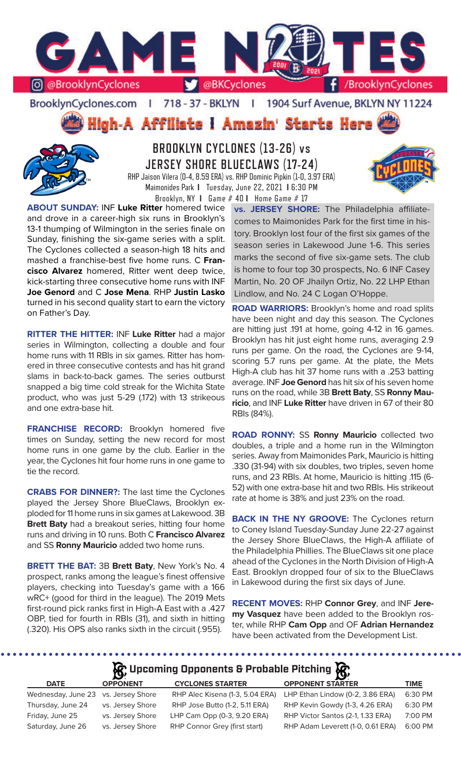

BrooklynCyclones.com | 718 - 37 - BKLYN - 11 1904 Surf Avenue, BKLYN NY 11224

**High-A Affiliate I Amazin' Starts Here** 



**BROOKLYN CYCLONES (13-26) vs JERSEY SHORE BLUECLAWS (17-24)** RHP Jaison Vilera (0-4, 8.59 ERA) vs. RHP Dominic Pipkin (1-0, 3.97 ERA) Maimonides Park **I** Tuesday, June 22, 2021 **I** 6:30 PM Brooklyn, NY **I** Game # 40 **I** Home Game # 17

**ABOUT SUNDAY:** INF **Luke Ritter** homered twice and drove in a career-high six runs in Brooklyn's 13-1 thumping of Wilmington in the series finale on Sunday, finishing the six-game series with a split. The Cyclones collected a season-high 18 hits and mashed a franchise-best five home runs. C **Francisco Alvarez** homered, Ritter went deep twice, kick-starting three consecutive home runs with INF **Joe Genord** and C **Jose Mena**. RHP **Justin Lasko**  turned in his second quality start to earn the victory on Father's Day.

**RITTER THE HITTER:** INF **Luke Ritter** had a major series in Wilmington, collecting a double and four home runs with 11 RBIs in six games. Ritter has homered in three consecutive contests and has hit grand slams in back-to-back games. The series outburst snapped a big time cold streak for the Wichita State product, who was just 5-29 (.172) with 13 strikeous and one extra-base hit.

**FRANCHISE RECORD:** Brooklyn homered five times on Sunday, setting the new record for most home runs in one game by the club. Earlier in the year, the Cyclones hit four home runs in one game to tie the record.

**CRABS FOR DINNER?:** The last time the Cyclones played the Jersey Shore BlueClaws, Brooklyn exploded for 11 home runs in six games at Lakewood. 3B **Brett Baty** had a breakout series, hitting four home runs and driving in 10 runs. Both C **Francisco Alvarez**  and SS **Ronny Mauricio** added two home runs.

**BRETT THE BAT:** 3B **Brett Baty**, New York's No. 4 prospect, ranks among the league's finest offensive players, checking into Tuesday's game with a 166 wRC+ (good for third in the league). The 2019 Mets first-round pick ranks first in High-A East with a .427 OBP, tied for fourth in RBIs (31), and sixth in hitting (.320). His OPS also ranks sixth in the circuit (.955).

**vs. JERSEY SHORE:** The Philadelphia affiliatecomes to Maimonides Park for the first time in history. Brooklyn lost four of the first six games of the season series in Lakewood June 1-6. This series marks the second of five six-game sets. The club is home to four top 30 prospects, No. 6 INF Casey Martin, No. 20 OF Jhailyn Ortiz, No. 22 LHP Ethan Lindlow, and No. 24 C Logan O'Hoppe.

**ROAD WARRIORS:** Brooklyn's home and road splits have been night and day this season. The Cyclones are hitting just .191 at home, going 4-12 in 16 games. Brooklyn has hit just eight home runs, averaging 2.9 runs per game. On the road, the Cyclones are 9-14, scoring 5.7 runs per game. At the plate, the Mets High-A club has hit 37 home runs with a .253 batting average. INF **Joe Genord** has hit six of his seven home runs on the road, while 3B **Brett Baty**, SS **Ronny Mauricio**, and INF **Luke Ritter** have driven in 67 of their 80 RBIs (84%).

**ROAD RONNY:** SS **Ronny Mauricio** collected two doubles, a triple and a home run in the Wilmington series. Away from Maimonides Park, Mauricio is hitting .330 (31-94) with six doubles, two triples, seven home runs, and 23 RBIs. At home, Mauricio is hitting .115 (6- 52) with one extra-base hit and two RBIs. His strikeout rate at home is 38% and just 23% on the road.

**BACK IN THE NY GROOVE:** The Cyclones return to Coney Island Tuesday-Sunday June 22-27 against the Jersey Shore BlueClaws, the High-A affiliate of the Philadelphia Phillies. The BlueClaws sit one place ahead of the Cyclones in the North Division of High-A East. Brooklyn dropped four of six to the BlueClaws in Lakewood during the first six days of June.

**RECENT MOVES:** RHP **Connor Grey**, and INF **Jeremy Vasquez** have been added to the Brooklyn roster, while RHP **Cam Opp** and OF **Adrian Hernandez**  have been activated from the Development List.

**R** Upcoming Opponents & Probable Pitching **R** 

| <b>DATE</b>                         | <b>OPPONENT</b>  | <b>CYCLONES STARTER</b>         | <b>OPPONENT STARTER</b>           | TIME    |
|-------------------------------------|------------------|---------------------------------|-----------------------------------|---------|
| Wednesday, June 23 vs. Jersey Shore |                  | RHP Alec Kisena (1-3, 5.04 ERA) | LHP Ethan Lindow (0-2, 3.86 ERA)  | 6:30 PM |
| Thursday, June 24                   | vs. Jersey Shore | RHP Jose Butto (1-2, 5.11 ERA)  | RHP Kevin Gowdy (1-3, 4.26 ERA)   | 6:30 PM |
| Friday, June 25                     | vs. Jersey Shore | LHP Cam Opp (0-3, 9.20 ERA)     | RHP Victor Santos (2-1, 1.33 ERA) | 7:00 PM |
| Saturday, June 26                   | vs. Jersey Shore | RHP Connor Grey (first start)   | RHP Adam Leverett (1-0, 0.61 ERA) | 6:00 PM |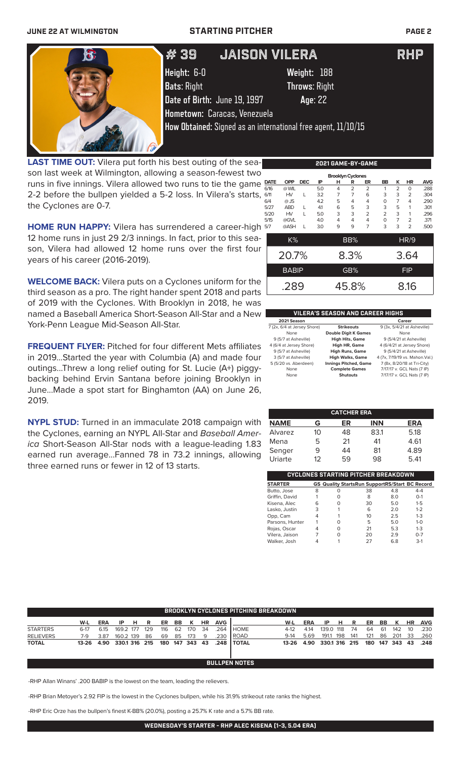## **JUNE 22 AT WILMINGTON STARTING PITCHER PAGE 2**



**LAST TIME OUT:** Vilera put forth his best outing of the season last week at Wilmington, allowing a season-fewest two runs in five innings. Vilera allowed two runs to tie the game 2-2 before the bullpen yielded a 5-2 loss. In Vilera's starts, the Cyclones are 0-7.

**HOME RUN HAPPY:** Vilera has surrendered a career-high 12 home runs in just 29 2/3 innings. In fact, prior to this season, Vilera had allowed 12 home runs over the first four years of his career (2016-2019).

**WELCOME BACK:** Vilera puts on a Cyclones uniform for the third season as a pro. The right hander spent 2018 and parts of 2019 with the Cyclones. With Brooklyn in 2018, he was named a Baseball America Short-Season All-Star and a New York-Penn League Mid-Season All-Star.

**FREQUENT FLYER:** Pitched for four different Mets affiliates in 2019...Started the year with Columbia (A) and made four outings...Threw a long relief outing for St. Lucie (A+) piggybacking behind Ervin Santana before joining Brooklyn in June...Made a spot start for Binghamton (AA) on June 26, 2019.

**NYPL STUD:** Turned in an immaculate 2018 campaign with the Cyclones, earning an NYPL All-Star and *Baseball America* Short-Season All-Star nods with a league-leading 1.83 earned run average...Fanned 78 in 73.2 innings, allowing three earned runs or fewer in 12 of 13 starts.

|      | <b>Brooklyn Cyclones</b> |               |            |     |     |                |                |                |                |                |            |  |  |
|------|--------------------------|---------------|------------|-----|-----|----------------|----------------|----------------|----------------|----------------|------------|--|--|
|      | <b>DATE</b>              | <b>OPP</b>    | <b>DEC</b> | IP  | н   | R              | ER             | BB             | ĸ              | ΗR             | <b>AVG</b> |  |  |
|      | 6/16                     | @ WIL         |            | 5.0 | 4   | $\overline{2}$ | $\overline{2}$ | 1              | $\overline{2}$ | $\Omega$       | .288       |  |  |
| 6/11 |                          | HV            | L          | 3.2 | 7   | 7              | 6              | 3              | 3              | $\overline{2}$ | .304       |  |  |
| 6/4  |                          | $@$ JS        |            | 4.2 | 5   | 4              | 4              | $\Omega$       | $\overline{7}$ | 4              | .290       |  |  |
|      | 5/27                     | <b>ABD</b>    | L          | 41  | 6   | 5              | 3              | 3              | 5              | 1              | .301       |  |  |
|      | 5/20                     | HV            | L          | 5.0 | 3   | 3              | $\overline{2}$ | $\overline{2}$ | 3              | 1              | .296       |  |  |
|      | 5/15                     | @GVL          |            | 4.0 | 4   | 4              | 4              | $\Omega$       | $\overline{7}$ | $\overline{2}$ | .371       |  |  |
| 5/7  |                          | @ASH          | L          | 3.0 | 9   | 9              | 7              | 3              | 3              | $\overline{2}$ | .500       |  |  |
| K%   |                          |               |            |     | BB% |                |                |                | <b>HR/9</b>    |                |            |  |  |
|      |                          | 20.7%<br>8.3% |            |     |     |                |                | 3.64           |                |                |            |  |  |
|      | <b>BABIP</b>             |               |            |     |     | GB%            |                | <b>FIP</b>     |                |                |            |  |  |
| .289 |                          |               |            |     |     | 45.8%          |                |                | 8.16           |                |            |  |  |

**2021 GAME-BY-GAME**

## **VILERA'S SEASON AND CAREER HIGHS**

| 2021 Season                 |                              | Career                          |
|-----------------------------|------------------------------|---------------------------------|
| 7 (2x, 6/4 at Jersey Shore) | <b>Strikeouts</b>            | 9 (3x, 5/4/21 at Asheville)     |
| None                        | <b>Double Digit K Games</b>  | None                            |
| 9 (5/7 at Asheville)        | <b>High Hits, Game</b>       | 9 (5/4/21 at Asheville)         |
| 4 (6/4 at Jersey Shore)     | High HR, Game                | 4 (6/4/21 at Jersey Shore)      |
| 9 (5/7 at Asheville)        | <b>High Runs, Game</b>       | 9 (5/4/21 at Asheville)         |
| 3 (5/7 at Asheville)        | <b>High Walks, Game</b>      | 4 (7x, 7/19/19 vs. Mahon. Val.) |
| 5 (5/20 vs. Aberdeen)       | <b>Innings Pitched, Game</b> | 7 (8x, 8/20/18 at Tri-City)     |
| None                        | <b>Complete Games</b>        | 7/17/17 v. GCL Nats (7 IP)      |
| None                        | <b>Shutouts</b>              | 7/17/17 v. GCL Nats (7 IP)      |
|                             |                              |                                 |

| <b>CATCHER ERA</b> |    |    |            |      |  |  |  |  |  |  |
|--------------------|----|----|------------|------|--|--|--|--|--|--|
| <b>NAME</b>        | G  | ER | <b>INN</b> | ERA  |  |  |  |  |  |  |
| Alvarez            | 10 | 48 | 831        | 5.18 |  |  |  |  |  |  |
| Mena               | 5  | 21 | 41         | 4.61 |  |  |  |  |  |  |
| Senger             | 9  | 44 | 81         | 4.89 |  |  |  |  |  |  |
| Uriarte            | 12 | 59 | 98         | 5.41 |  |  |  |  |  |  |

| CYCLONES STARTING PITCHER BREAKDOWN |   |   |                                                       |     |         |  |  |  |  |  |  |
|-------------------------------------|---|---|-------------------------------------------------------|-----|---------|--|--|--|--|--|--|
| <b>STARTER</b>                      |   |   | <b>GS Quality StartsRun SupportRS/Start BC Record</b> |     |         |  |  |  |  |  |  |
| Butto, Jose                         | 8 | O | 38                                                    | 4.8 | $4 - 4$ |  |  |  |  |  |  |
| Griffin, David                      |   | O | 8                                                     | 8.0 | $O-1$   |  |  |  |  |  |  |
| Kisena, Alec                        | 6 | O | 30                                                    | 5.0 | $1 - 5$ |  |  |  |  |  |  |
| Lasko, Justin                       | 3 |   | 6                                                     | 2.0 | $1 - 2$ |  |  |  |  |  |  |
| Opp, Cam                            | 4 |   | 10                                                    | 2.5 | $1 - 3$ |  |  |  |  |  |  |
| Parsons, Hunter                     |   | Ω | 5                                                     | 5.0 | $1 - 0$ |  |  |  |  |  |  |
| Rojas, Oscar                        | 4 | O | 21                                                    | 5.3 | $1 - 3$ |  |  |  |  |  |  |
| Vilera, Jaison                      |   | ი | 20                                                    | 2.9 | $0 - 7$ |  |  |  |  |  |  |
| Walker, Josh                        |   |   | 27                                                    | 6.8 | $3-1$   |  |  |  |  |  |  |

|                  | <b>BROOKLYN CYCLONES PITCHING BREAKDOWN</b> |            |               |    |     |     |    |                |    |            |                      |        |      |               |     |     |     |     |         |           |            |
|------------------|---------------------------------------------|------------|---------------|----|-----|-----|----|----------------|----|------------|----------------------|--------|------|---------------|-----|-----|-----|-----|---------|-----------|------------|
|                  | W-L                                         | <b>ERA</b> | IP            | HR |     | ER  | BB | к              | HR | <b>AVG</b> |                      | W-L    | ERA  | IP            | н   | R   | ER  | BB  | к       | <b>HR</b> | <b>AVG</b> |
| <b>STARTERS</b>  | $6-17$                                      | 6.15       | 169.2 177     |    | 129 | 116 | 62 | 170            | 34 | .264       | <b>HOME</b>          | $4-12$ | 4.14 | 139.0 118     |     | 74  | 64  | -61 | 142     | 10        | .230       |
| <b>RELIEVERS</b> | 7-9                                         | 3.87       | 160.2 139     |    | 86  | 69  | 85 | 173            | -9 | .230       | ROAD                 | $9-14$ | 5.69 | 191.1         | 198 | 141 | 121 | 86  | 201     | - 33      | .260       |
| <b>TOTAL</b>     | 13-26                                       | 4.90       | 330.1 316 215 |    |     |     |    | 180 147 343 43 |    | .248       | <b>I TOTAL</b>       | 13-26  | 4.90 | 330.1 316 215 |     |     | 180 |     | 147 343 | 43        | .248       |
|                  |                                             |            |               |    |     |     |    |                |    |            |                      |        |      |               |     |     |     |     |         |           |            |
|                  |                                             |            |               |    |     |     |    |                |    |            |                      |        |      |               |     |     |     |     |         |           |            |
|                  |                                             |            |               |    |     |     |    |                |    |            | <b>BULLPEN NOTES</b> |        |      |               |     |     |     |     |         |           |            |

-RHP Allan Winans' .200 BABIP is the lowest on the team, leading the relievers.

-RHP Brian Metoyer's 2.92 FIP is the lowest in the Cyclones bullpen, while his 31.9% strikeout rate ranks the highest.

-RHP Eric Orze has the bullpen's finest K-BB% (20.0%), posting a 25.7% K rate and a 5.7% BB rate.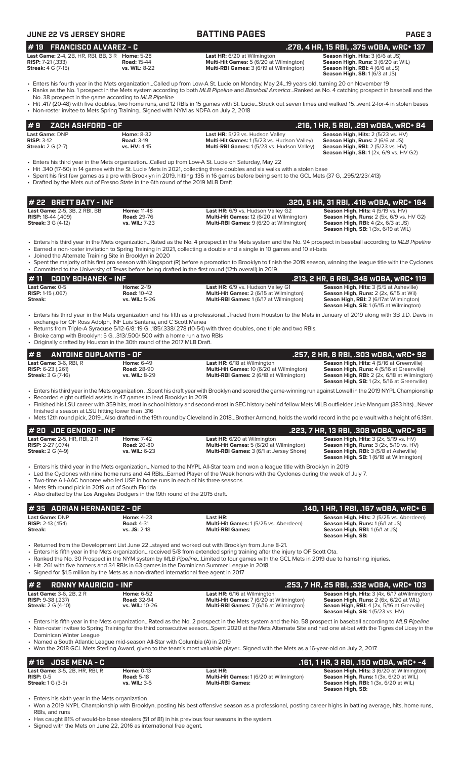| JUNE 22 VS JERSEY SHORE |
|-------------------------|
|-------------------------|

**BATTING PAGES PAGE 3 # 22 BRETT BATY - INF .320, 5 HR, 31 RBI, .418 wOBA, wRC+ 164 Last Game:** 2-5, 3B, 2 RBI, BB **Home:** 11-48 **Last HR:** 6/9 vs. Hudson Valley G2 **Season High, Hits:** 4 (5/19 vs. HV) **RISP:** 18-44 (.409) **Road:** 29-76 **Multi-Hit Games:** 12 (6/20 at Wilmington) **Season High, Runs:** 2 (5x, 6/9 vs. HV G2) **Streak:** 3 G (4-12) **vs. WIL:** 7-23 **Multi-RBI Games:** 9 (6/20 at Wilmington) **Season High, RBI:** 4 (2x, 6/3 at JS) **Season High, SB:** 1 (3x, 6/19 at WIL) • Enters his third year in the Mets organization...Rated as the No. 4 prospect in the Mets system and the No. 94 prospect in baseball according to *MLB Pipeline* • Earned a non-roster invitation to Spring Training in 2021, collecting a double and a single in 10 games and 10 at-bats • Joined the Alternate Training Site in Brooklyn in 2020 • Spent the majority of his first pro season with Kingsport (R) before a promotion to Brooklyn to finish the 2019 season, winning the league title with the Cyclones • Committed to the University of Texas before being drafted in the first round (12th overall) in 2019 **# 11 CODY BOHANEK - INF .213, 2 HR, 6 RBI, .346 wOBA, wRC+ 119 Last Game:** 0-5 **Home:** 2-19 **Last HR:** 6/9 vs. Hudson Valley G1 **Season High, Hits:** 3 (5/5 at Asheville) **RISP:** 1-15 (.067) **Road:** 10-42 **Multi-Hit Games:** 2 (6/15 at Wilmington) **Season High, Runs:** 2 (2x, 6/15 at Wil) **Streak: vs. WIL:** 5-26 **Multi-RBI Games:** 1 (6/17 at Wilmington) **Seaon High, RBI:** 2 (6/17at Wilmington) **Season High, SB:** 1 (6/15 at Wilmington) • Enters his third year in the Mets organization and his fifth as a professional...Traded from Houston to the Mets in January of 2019 along with 3B J.D. Davis in exchange for OF Ross Adolph, INF Luis Santana, and C Scott Manea • Returns from Triple-A Syracuse 5/12-6/8: 19 G, .185/.338/.278 (10-54) with three doubles, one triple and two RBIs. • Broke camp with Brooklyn: 5 G, .313/.500/.500 with a home run a two RBIs • Originally drafted by Houston in the 30th round of the 2017 MLB Draft. **# 2 RONNY MAURICIO - INF .253, 7 HR, 25 RBI, .332 wOBA, wRC+ 103**<br> **233, 7 HR, 25 RBI, .332 wOBA, wRC+ 103**<br>
RISP: 9-38 (.237) **Rises on Figh, Hits:** 3 (4x, 6/17 atWilmington<br>
RISP: 9-38 (.237) **Rises on Figh, Runs: Season High, Hits:** 3 (4x, 6/17 atWilmington **Season High, Runs:** 2 (6x, 6/20 at WIL) **Cast Game: 3-6, 2B, 2 R**<br> **RISP: 9-38 (.237) Road: 32-94 RISP:** *RISP: 9-38 (.237)* **<b>Road: 32-94 RISP:** *RISP: 9-38 (.237)* **Road: 32-94 Multi-Hit Games: 7 (6/20 at Wilmington) Streak: 2 G (4-10) vs. WIL: 10-26 Seaon High, RBI:** 4 (2x, 5/16 at Greeville) **Season High, SB:** 1 (5/23 vs. HV) • Enters his fifth year in the Mets organization...Rated as the No. 2 prospect in the Mets system and the No. 58 prospect in baseball according to *MLB Pipeline* • Non-roster invitee to Spring Training for the third consecutive season...Spent 2020 at the Mets Alternate Site and had one at-bat with the Tigres del Licey in the Dominican Winter League • Named a South Atlantic League mid-season All-Star with Columbia (A) in 2019 • Won the 2018 GCL Mets Sterling Award, given to the team's most valuable player...Signed with the Mets as a 16-year-old on July 2, 2017. **# 8 ANTOINE DUPLANTIS - OF .257, 2 HR, 8 RBI, .303 wOBA, wRC+ 92 Last Game:** 3-6, RBI, R **Home:** 6-49 **Last HR:** 6/18 at Wilmington **Season High, Hits:** 4 (5/16 at Greenville) **RISP:** 6-23 (.261) **Road:** 28-90 **Multi-Hit Games:** 10 (6/20 at Wilmington) **Season High, Runs:** 4 (5/16 at Greenville) **Streak:** 3 G (7-16) **vs. WIL:** 8-29 **Multi-RBI Games:** 2 (6/18 at WIlmington) **Season High, RBI:** 2 (2x, 6/18 at Wilmington) **Season High, SB:** 1 (2x, 5/16 at Greenville) • Enters his third year in the Mets organization ...Spent his draft year with Brooklyn and scored the game-winning run against Lowell in the 2019 NYPL Championship • Recorded eight outfield assists in 47 games to lead Brooklyn in 2019 • Finished his LSU career with 359 hits, most in school history and second-most in SEC history behind fellow Mets MiLB outfielder Jake Mangum (383 hits)...Never finished a season at LSU hitting lower than .316 • Mets 12th round pick, 2019...Also drafted in the 19th round by Cleveland in 2018...Brother Armond, holds the world record in the pole vault with a height of 6.18m. **# 20 JOE GENORD - INF**<br> **1995 Last HR:** 6/20 at Wilmington **1996 Passon High, Hits:** 3 (2x, 5/19 vs. HV)<br>
RISP: 2-27 (.074) RISP: 2-27 (.074) Road: 20-80 Multi-Hit Games: 5 (6/20 at Wilmington) Season High, Runs: 3 (2x, 5 **Last Game:** 2-5, HR, RBI, 2 R **Home:** 7-42 **Last HR:** 6/20 at Wilmington **Season High, Hits:** 3 (2x, 5/19 vs. HV) **RISP:** 2-27 (.074) **Road:** 20-80 **Multi-Hit Games:** 5 (6/20 at Wilmington) **Season High, Runs:** 3 (2x, 5/19 vs. HV) **Streak: 2 G (4-9)**<br>**Right RISP: 2-27 (074) Read: 20-80 Multi-RBI Games: 5 (6/20 at Wilmington) Season High, Runs: 3 (2x, 5/19 vs. WIL: 6-23 Multi-RBI Games: 3 (6/1 at Jersey Shore) Season High, RBI: 3 (5/8 at As Season High, SB:** 1 (6/18 at Wilmington) • Enters his third year in the Mets organization...Named to the NYPL All-Star team and won a league title with Brooklyn in 2019 • Led the Cyclones with nine home runs and 44 RBIs...Earned Player of the Week honors with the Cyclones during the week of July 7. • Two-time All-AAC honoree who led USF in home runs in each of his three seasons Mets 9th round pick in 2019 out of South Florida • Also drafted by the Los Angeles Dodgers in the 19th round of the 2015 draft. **Last Game: DNP Home:**  $4-23$  **Last HR: Last HR: Season High, Hits:** 2 (5/25 vs. Aberdeen)<br> **RISP:** 2-13 (.154) **Road:** 4-31 **Multi-Hit Games:** 1 (5/25 vs. Aberdeen) **Season High, Runs:** 1 (6/1 at JS) **Multi-Hit Games:** 1 (5/25 vs. Aberdeen) **Multi-Hit Games: Streak: vs. JS:** 2-18 **Multi-RBI Games: Season High, RBI:** 1 (6/1 at JS) **Season High, SB:**  • Returned from the Development List June 22...stayed and worked out with Brooklyn from June 8-21. • Enters his fifth year in the Mets organization...received 5/8 from extended spring training after the injury to OF Scott Ota. • Ranked the No. 30 Prospect in the NYM system by *MLB Pipeline...*Limited to four games with the GCL Mets in 2019 due to hamstring injuries. • Hit .261 with five homers and 34 RBIs in 63 games in the Dominican Summer League in 2018. • Signed for \$1.5 million by the Mets as a non-drafted international free agent in 2017 **# 35 ADRIAN HERNANDEZ - OF .140, 1 HR, 1 RBI, .167 wOBA, wRC+ 6 Last Game: DNP Home: 8-32 Last HR:** 5/23 vs. Hudson Valley **Season High, Hits:** 2 (5/23 vs. HV)<br> **RISP:** 3-12 **Road: 3-19 Road: 3-19 Multi-Hit Games:** 1 (5/23 vs. Hudson Valley) **Season High, Runs:** 2 (6/6 at JS) **RISP:** 3-12 **Road:** 3-19 **Multi-Hit Games:** 1 (5/23 vs. Hudson Valley) **Season High, Runs:** 2 (6/6 at JS) **Multi-RBI Games:** 1 (5/23 vs. Hudson Valley) **Season High, SB:** 1 (2x, 6/9 vs. HV G2) • Enters his third year in the Mets organization...Called up from Low-A St. Lucie on Saturday, May 22 • Hit .340 (17-50) in 14 games with the St. Lucie Mets in 2021, collecting three doubles and six walks with a stolen base • Spent his first few games as a pro with Brooklyn in 2019, hitting .136 in 16 games before being sent to the GCL Mets (37 G, .295/2/23/.413) • Drafted by the Mets out of Fresno State in the 6th round of the 2019 MLB Draft **# 9 ZACH ASHFORD - OF .216, 1 HR, 5 RBI, .291 wOBA, wRC+ 84 Last Game:** 2-4, 2B, HR, RBI, BB, 3 R **Home:** 5-28 **Last HR:** 6/20 at Wilmington **Season High, Hits:** 3 (6/6 at JS) **RISP:** 7-21 (.333) **Road: 15-44 Road: 15-44 Multi-Hit Games: 5 (6/20 at Wilmington) Streak: 4 G (7-15) Streak: 4 G (7-15) Streak: 4 G (7-15) Streak: 4 G (7-15) Streak: 3 (6/19 at Wilmington) Multi-RBI Games:** 3 (6/19 at Wilmington) **Season High, RBI:** 4 (6/6 at JS)<br>**Season High, RBI:** 4 (6/6 at JS) • Enters his fourth year in the Mets organization...Called up from Low-A St. Lucie on Monday, May 24...19 years old, turning 20 on November 19 • Ranks as the No. 1 prospect in the Mets system according to both *MLB Pipeline* and *Baseball America*...Ranked as No. 4 catching prospect in baseball and the No. 38 prospect in the game according to *MLB Pipeline* • Hit .417 (20-48) with five doubles, two home runs, and 12 RBIs in 15 games with St. Lucie...Struck out seven times and walked 15...went 2-for-4 in stolen bases • Non-roster invitee to Mets Spring Training...Signed with NYM as NDFA on July 2, 2018 **# 19 FRANCISCO ALVAREZ - C .278, 4 HR, 15 RBI, .375 wOBA, wRC+ 137**

| $\parallel$ #16 $\parallel$ JOSE MENA - C $^{\dagger}$ |                                   |                                                            | .161, 1 HR, 3 RBI, .150 WOBA, WRC+ -4                                                             |
|--------------------------------------------------------|-----------------------------------|------------------------------------------------------------|---------------------------------------------------------------------------------------------------|
| <b>Last Game:</b> 3-5, 2B, HR, RBI, R<br>$RISP: 0-5$   | Home: $0-13$<br><b>Road: 5-18</b> | Last HR:<br><b>Multi-Hit Games: 1 (6/20 at Wilmington)</b> | <b>Season High, Hits: 3 (6/20 at Wilmington)</b><br><b>Season High, Runs: 1 (3x, 6/20 at WIL)</b> |
| <b>Streak: 1 G (3-5)</b>                               | vs. WIL: 3-5                      | <b>Multi-RBI Games:</b>                                    | <b>Season High, RBI:</b> $1$ (3x, $6/20$ at WIL)<br>Season High, SB:                              |

• Enters his sixth year in the Mets organization

• Won a 2019 NYPL Championship with Brooklyn, posting his best offensive season as a professional, posting career highs in batting average, hits, home runs, RBIs, and runs

• Has caught 81% of would-be base stealers (51 of 81) in his previous four seasons in the system. • Signed with the Mets on June 22, 2016 as international free agent.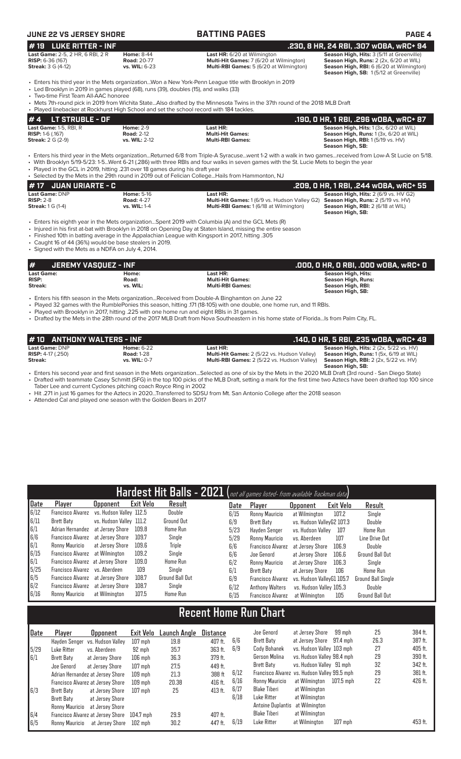| JUNE 22 VS JERSEY SHORE                                                                                                       |                                                          | <b>BATTING PAGES</b>                                                                                                                                                                                                                                                                                                                                                                                    | <b>PAGE 4</b>                                                                                                                                                             |
|-------------------------------------------------------------------------------------------------------------------------------|----------------------------------------------------------|---------------------------------------------------------------------------------------------------------------------------------------------------------------------------------------------------------------------------------------------------------------------------------------------------------------------------------------------------------------------------------------------------------|---------------------------------------------------------------------------------------------------------------------------------------------------------------------------|
| <b>LUKE RITTER - INF</b><br>#19                                                                                               |                                                          |                                                                                                                                                                                                                                                                                                                                                                                                         | .230, 8 HR, 24 RBI, .307 w0BA, wRC+ 94                                                                                                                                    |
| Last Game: 2-5, 2 HR, 6 RBI, 2 R<br><b>RISP:</b> 6-36 (167)<br><b>Streak:</b> 3 G (4-12)                                      | <b>Home: 8-44</b><br><b>Road: 20-77</b><br>vs. WIL: 6-23 | <b>Last HR:</b> 6/20 at Wilmington<br>Multi-Hit Games: 7 (6/20 at Wilmington)<br>Multi-RBI Games: 5 (6/20 at Wilmington)                                                                                                                                                                                                                                                                                | Season High, Hits: 3 (5/11 at Greenville)<br>Season High, Runs: 2 (2x, 6/20 at WIL)<br>Season High, RBI: 6 (6/20 at Wilmington)<br>Season High, SB: 1(5/12 at Greenville) |
| • Led Brooklyn in 2019 in games played (68), runs (39), doubles (15), and walks (33)<br>• Two-time First Team All-AAC honoree |                                                          | • Enters his third year in the Mets organizationWon a New York-Penn League title with Brooklyn in 2019<br>• Mets 7th-round pick in 2019 from Wichita StateAlso drafted by the Minnesota Twins in the 37th round of the 2018 MLB Draft                                                                                                                                                                   |                                                                                                                                                                           |
| . Played linebacker at Rockhurst High School and set the school record with 184 tackles.                                      |                                                          |                                                                                                                                                                                                                                                                                                                                                                                                         |                                                                                                                                                                           |
| <b>LT STRUBLE - OF</b><br>#4                                                                                                  |                                                          |                                                                                                                                                                                                                                                                                                                                                                                                         | .190, 0 HR, 1 RBI, .296 w0BA, wRC+ 87                                                                                                                                     |
| Last Game: 1-5, RBI, R<br><b>RISP: 1-6 (.167)</b><br><b>Streak: 2 G (2-9)</b>                                                 | <b>Home: 2-9</b><br><b>Road: 2-12</b><br>vs. WIL: 2-12   | Last HR:<br><b>Multi-Hit Games:</b><br><b>Multi-RBI Games:</b>                                                                                                                                                                                                                                                                                                                                          | Season High, Hits: 1 (3x, 6/20 at WIL)<br>Season High, Runs: 1 (3x, 6/20 at WIL)<br>Season High, RBI: 1 (5/19 vs. HV)<br>Season High, SB:                                 |
| . Played in the GCL in 2019, hitting .231 over 18 games during his draft year                                                 |                                                          | • Enters his third year in the Mets organizationReturned 6/8 from Triple-A Syracusewent 1-2 with a walk in two gamesreceived from Low-A St Lucie on 5/18.<br>• With Brooklyn 5/19-5/23: 1-5Went 6-21 (.286) with three RBIs and four walks in seven games with the St. Lucie Mets to begin the year<br>• Selected by the Mets in the 29th round in 2019 out of Felician CollegeHails from Hammonton, NJ |                                                                                                                                                                           |
| #17<br><b>JUAN URIARTE - C</b>                                                                                                |                                                          |                                                                                                                                                                                                                                                                                                                                                                                                         | .209, 0 HR, 1 RBI, .244 w0BA, wRC+ 55                                                                                                                                     |
| Last Game: DNP<br><b>RISP: 2-8</b><br><b>Streak:</b> 1 G (1-4)                                                                | <b>Home: 5-16</b><br><b>Road: 4-27</b><br>vs. WIL: 1-4   | Last HR:<br>Multi-Hit Games: 1 (6/9 vs. Hudson Valley G2)<br>Multi-RBI Games: 1 (6/18 at Wilmington)                                                                                                                                                                                                                                                                                                    | Season High, Hits: 2 (6/9 vs. HV G2)<br>Season High, Runs: 2 (5/19 vs. HV)<br>Season High, RBI: 2 (6/18 at WIL)<br>Season High, SB:                                       |
| • Caught 16 of 44 (36%) would-be base stealers in 2019.<br>• Signed with the Mets as a NDFA on July 4, 2014.                  |                                                          | • Enters his eighth year in the Mets organizationSpent 2019 with Columbia (A) and the GCL Mets (R)<br>• Injured in his first at-bat with Brooklyn in 2018 on Opening Day at Staten Island, missing the entire season<br>. Finished 10th in batting average in the Appalachian League with Kingsport in 2017, hitting .305                                                                               |                                                                                                                                                                           |
| #<br><b>JEREMY VASQUEZ - INF</b>                                                                                              |                                                          |                                                                                                                                                                                                                                                                                                                                                                                                         | .000, 0 HR, 0 RBI, .000 w0BA, wRC+ 0                                                                                                                                      |
| <b>Last Game:</b><br><b>RISP:</b><br>Streak:                                                                                  | Home:<br>Road:<br>vs. WIL:                               | Last HR:<br><b>Multi-Hit Games:</b><br><b>Multi-RBI Games:</b>                                                                                                                                                                                                                                                                                                                                          | <b>Season High, Hits:</b><br><b>Season High, Runs:</b><br>Season High, RBI:<br>Season High, SB:                                                                           |
| . Played with Brooklyn in 2017, hitting .225 with one home run and eight RBIs in 31 games.                                    |                                                          | • Enters his fifth season in the Mets organizationReceived from Double-A Binghamton on June 22<br>. Played 32 games with the RumblePonies this season, hitting 171 (18-105) with one double, one home run, and 11 RBIs.<br>• Drafted by the Mets in the 28th round of the 2017 MLB Draft from Nova Southeastern in his home state of FloridaIs from Palm City, FL.                                      |                                                                                                                                                                           |

| #10 ANTHONY WALTERS - INF    |                   |                                                                                                                                                          | .140. 0 HR. 5 RBI. .235 w0BA. wRC+ 49                   |
|------------------------------|-------------------|----------------------------------------------------------------------------------------------------------------------------------------------------------|---------------------------------------------------------|
| Last Game: DNP               | <b>Home: 6-22</b> | Last HR:                                                                                                                                                 | <b>Season High, Hits: 2 (2x, 5/22 vs. HV)</b>           |
| <b>RISP:</b> $4-17$ $(.250)$ | <b>Road: 1-28</b> | Multi-Hit Games: 2 (5/22 vs. Hudson Valley)                                                                                                              | <b>Season High, Runs:</b> 1(5x, 6/19 at WIL)            |
| Streak:                      | vs. WIL: 0-7      | <b>Multi-RBI Games:</b> 2 (5/22 vs. Hudson Valley)                                                                                                       | <b>Season High, RBI:</b> $2$ ( $2x$ , $5/22$ vs. $HV$ ) |
|                              |                   |                                                                                                                                                          | Season High, SB:                                        |
|                              |                   | • Enters his second year and first season in the Mets organizationSelected as one of six by the Mets in the 2020 MLB Draft (3rd round - San Diego State) |                                                         |

• Drafted with teammate Casey Schmitt (SFG) in the top 100 picks of the MLB Draft, setting a mark for the first time two Aztecs have been drafted top 100 since Taber Lee and current Cyclones pitching coach Royce Ring in 2002

• Hit .271 in just 16 games for the Aztecs in 2020...Transferred to SDSU from Mt. San Antonio College after the 2018 season

• Attended Cal and played one season with the Golden Bears in 2017

Adrian Hernandez at Jersey Shore 109 mph 21.3 388 ft<br>Francisco Alvarez at Jersey Shore 109 mph 20.38 416 ft.

6/3 Brett Baty at Jersey Shore 107 mph 25 413 ft.<br>Brett Baty at Jersey Shore

6/4 Francisco Alvarez at Jersey Shore 104.7 mph 29.9 407 ft.<br>6/5 Ronny Mauricio at Jersey Shore 102 mph 30.2 447 ft. Ronny Mauricio at Jersey Shore 102 mph 30.2 447 ft.

 $Fr$ ancisco Alvarez at Jersey Shore  $109$  mph  $20.38$ 

at Jersey Shore

Ronny Mauricio at Jersey Shore

|         |                                     |                                   |           | Hardest Hit Balls - 2021 (not all games listed- from available Trackman data) |          |      |                          |                                              |           |                    |         |  |  |
|---------|-------------------------------------|-----------------------------------|-----------|-------------------------------------------------------------------------------|----------|------|--------------------------|----------------------------------------------|-----------|--------------------|---------|--|--|
| Date    | <b>Player</b>                       | Opponent                          | Exit Velo | Result                                                                        |          | Date | Player                   | <b>Opponent</b>                              | Exit Velo | Result             |         |  |  |
| 6/12    | <b>Francisco Alvarez</b>            | vs. Hudson Valley 112.5           |           | Double                                                                        |          | 6/15 | Ronny Mauricio           | at Wilmington                                | 107.2     | Single             |         |  |  |
| 6/11    | <b>Brett Baty</b>                   | vs. Hudson Valley 111.2           |           | Ground Out                                                                    |          | 6/9  | Brett Baty               | vs. Hudson ValleyG2 107.3                    |           | Double             |         |  |  |
| 6/1     | Adrian Hernandez                    | at Jersey Shore                   | 109.8     | Home Run                                                                      |          | 5/23 | Hayden Senger            | vs. Hudson Valley                            | 107       | Home Run           |         |  |  |
| $6/6\,$ | <b>Francisco Alvarez</b>            | at Jersey Shore                   | 109.7     | Single                                                                        |          | 5/29 | Ronny Mauricio           | vs. Aberdeen                                 | 107       | Line Drive Out     |         |  |  |
| $6/1\,$ | Ronny Mauricio                      | at Jersey Shore                   | 109.6     | Triple                                                                        |          | 6/6  | <b>Francisco Alvarez</b> | at Jersey Shore                              | 106.9     | Double             |         |  |  |
| 6/15    | <b>Francisco Alvarez</b>            | at Wilmington                     | 109.2     | Single                                                                        |          | 6/6  | Joe Genord               | at Jersey Shore                              | 106.6     | Ground Ball Out    |         |  |  |
| 6/1     |                                     | Francisco Alvarez at Jersey Shore | 109.0     | Home Run                                                                      |          | 6/2  | Ronny Mauricio           | at Jersey Shore                              | 106.3     | Single             |         |  |  |
| 5/25    | <b>Francisco Alvarez</b>            | vs. Aberdeen                      | 109       | Single                                                                        |          | 6/1  | Brett Baty               | at Jersey Shore                              | 106       | <b>Home Run</b>    |         |  |  |
| 6/5     | <b>Francisco Alvarez</b>            | at Jersey Shore                   | 108.7     | Ground Ball Out                                                               |          | 6/9  | <b>Francisco Alvarez</b> | vs. Hudson ValleyG1 105.7                    |           | Ground Ball Single |         |  |  |
| 6/2     | Francisco Alvarez                   | at Jersey Shore                   | 108.7     | Single                                                                        |          | 6/12 | <b>Anthony Walters</b>   | vs. Hudson Valley 105.3                      |           | Double             |         |  |  |
| 6/16    | Ronny Mauricio                      | at Wilmington                     | 107.5     | Home Run                                                                      |          | 6/15 | <b>Francisco Alvarez</b> | at Wilmington                                | 105       | Ground Ball Out    |         |  |  |
|         | <b>Recent Home Run <u>Chart</u></b> |                                   |           |                                                                               |          |      |                          |                                              |           |                    |         |  |  |
|         |                                     |                                   |           |                                                                               |          |      |                          |                                              |           |                    |         |  |  |
| Date    | Player                              | <b>Opponent</b>                   | Exit Velo | <b>Launch Angle</b>                                                           | Distance |      | Joe Genord               | at Jersey Shore                              | 99 mph    | 25                 | 384 ft. |  |  |
|         | Hayden Senger                       | vs. Hudson Valley                 | $107$ mph | 19.8                                                                          | 407 ft.  | 6/6  | Brett Baty               | at Jersey Shore                              | 97.4 mph  | 26.3               | 387 ft. |  |  |
| 5/29    | Luke Ritter                         | vs. Aberdeen                      | 92 mph    | 35.7                                                                          | 363 ft.  | 6/9  | Cody Bohanek             | vs. Hudson Valley 103 mph                    |           | 27                 | 405 ft. |  |  |
| 6/1     | <b>Brett Baty</b>                   | at Jersey Shore                   | $106$ mph | 36.3                                                                          | 379 ft.  |      | Gerson Molina            | vs. Hudson Valley 98.4 mph                   |           | 29                 | 390 ft. |  |  |
|         | Joe Genord                          | at Jersey Shore                   | $107$ mph | 27.5                                                                          | 449 ft.  |      | Brett Baty               | vs. Hudson Valley 91 mph                     |           | 32                 | 342 ft. |  |  |
|         | Adrian Hernandez at Jersey Shore    |                                   | $109$ mph | 21.3                                                                          | 388 ft   | 6/12 |                          | Francisco Alvarez vs. Hudson Valley 99.5 mph |           | 29                 | 381 ft. |  |  |

6/12 Francisco Alvarez vs. Hudson Valley 99.5 mph 29 381 ft.

6/19 Luke Ritter at Wilmington 107 mph 453 ft.

6/16 Ronny Mauricio at Wilmington<br>6/17 Blake Tiberi at Wilmington 8/17 Blake Tiberi at Wilmington<br>17 Luke Ritter at Wilmington 6/18 Luke Ritter at Wilmington

Antoine Duplantis at Wilmington Blake Tiberi at Wilmington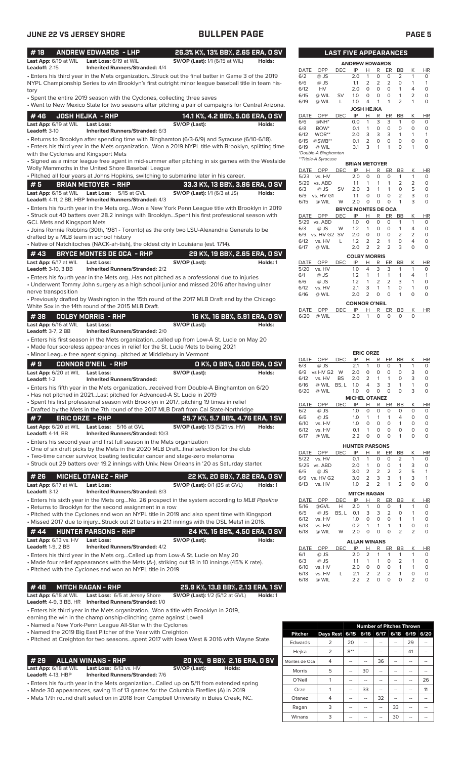| #18                                                 | <b>ANDREW EDWARDS - LHP</b>                                                                                                                                                        | 26.3% K%, 13% BB%, 2.65 ERA, 0 SV                                          |          |              |                        |            |            | <b>LAST FIVE APPEARANCES</b>                        |                                |                                |                                  |                         |
|-----------------------------------------------------|------------------------------------------------------------------------------------------------------------------------------------------------------------------------------------|----------------------------------------------------------------------------|----------|--------------|------------------------|------------|------------|-----------------------------------------------------|--------------------------------|--------------------------------|----------------------------------|-------------------------|
| Last App: 6/19 at WIL<br>Leadoff: 2-15              | Last Loss: 6/19 at WIL<br><b>Inherited Runners/Stranded: 4/4</b>                                                                                                                   | SV/OP (Last): 1/1 (6/15 at WIL)                                            | Holds:   | DATE         | OPP                    | DEC.       | IP         | <b>ANDREW EDWARDS</b><br>R<br>H.                    | ER                             | <b>BB</b>                      | Κ                                | HR                      |
|                                                     | . Enters his third year in the Mets organizationStruck out the final batter in Game 3 of the 2019                                                                                  |                                                                            |          | 6/2          | @ JS                   |            | 2.0        | $\mathbf{1}$<br>0                                   | 0                              | $\overline{2}$                 | 1                                | 0                       |
|                                                     | NYPL Championship Series to win Brooklyn's first outright minor league baseball title in team his-                                                                                 |                                                                            |          | 6/6          | @ JS                   |            | 1.1        | 2<br>$\overline{2}$                                 | $\overline{2}$                 | $\Omega$                       | 1                                | $\mathbf{1}$            |
| tory                                                |                                                                                                                                                                                    |                                                                            |          | 6/12<br>6/15 | HV<br>@ WIL            | <b>SV</b>  | 2.0<br>1.0 | $\circ$<br>0<br>0<br>0                              | $\circ$<br>$\circ$             | $\mathbf{1}$<br>1              | $\overline{4}$<br>$\overline{2}$ | $\circ$<br>$\circ$      |
|                                                     | • Spent the entire 2019 season with the Cyclones, collecting three saves<br>• Went to New Mexico State for two seasons after pitching a pair of campaigns for Central Arizona.     |                                                                            |          | 6/19         | @ WIL                  | L          | 1.0        | 1<br>4                                              | $\mathbf{1}$                   | $\overline{2}$                 | $\mathbf{1}$                     | $\mathbf 0$             |
|                                                     |                                                                                                                                                                                    |                                                                            |          |              |                        |            |            | JOSH HEJKA                                          |                                |                                |                                  |                         |
| #46                                                 | <b>JOSH HEJKA - RHP</b>                                                                                                                                                            | 14.1 K%, 4.2 BB%, 5.06 ERA, 0 SV                                           |          | DATE<br>6/6  | OPP<br>$@NH*$          | <b>DEC</b> | IP<br>0.0  | Н<br>R<br>3<br>$\mathbf{1}$                         | ER<br>3                        | BB<br>$\mathbf{1}$             | Κ<br>0                           | HR<br>0                 |
| Last App: 6/19 at WIL<br>Leadoff: 3-10              | <b>Last Loss:</b><br>Inherited Runners/Stranded: 6/3                                                                                                                               | SV/OP (Last):                                                              | Holds:   | 6/8          | BOW <sup>*</sup>       |            | 0.1        | $\mathbf 0$<br>1                                    | $\circ$                        | $\circ$                        | 0                                | $\circ$                 |
|                                                     | • Returns to Brooklyn after spending time with Binghamton (6/3-6/9) and Syracuse (6/10-6/18).                                                                                      |                                                                            |          | 6/12         | WOR**                  |            | 2.0        | 3<br>3                                              | 3<br>$\circ$                   | $\mathbf{1}$<br>$\circ$        | $\mathbf{1}$<br>0                | $\mathbf{1}$            |
|                                                     | Enters his third year in the Mets organizationWon a 2019 NYPL title with Brooklyn, splitting time                                                                                  |                                                                            |          | 6/15<br>6/19 | $@SWB**$<br>@ WIL      |            | 0.1<br>3.1 | 2<br>$\circ$<br>3<br>$\overline{1}$                 | 1                              | $\circ$                        | 1                                | $\circ$<br>$\mathbf 0$  |
| with the Cyclones and Kingsport Mets                |                                                                                                                                                                                    |                                                                            |          |              | *Double-A Binghamton   |            |            |                                                     |                                |                                |                                  |                         |
|                                                     | · Signed as a minor league free agent in mid-summer after pitching in six games with the Westside                                                                                  |                                                                            |          |              | **Triple-A Syracuse    |            |            | <b>BRIAN METOYER</b>                                |                                |                                |                                  |                         |
|                                                     | Wolly Mammoths in the United Shore Baseball League                                                                                                                                 |                                                                            |          | DATE         | OPP                    | <b>DEC</b> | IP         | R<br>Н                                              | ER                             | <b>BB</b>                      | К                                | <b>HR</b>               |
|                                                     | . Pitched all four years at Johns Hopkins, switching to submarine later in his career.                                                                                             |                                                                            |          | 5/23         | vs. HV<br>5/29 vs. ABD |            | 2.0<br>1.1 | $\circ$<br>0<br>1<br>1                              | $\mathbf 0$<br>$\mathbf{1}$    | $\mathbf{1}$<br>$\overline{2}$ | $\mathbf{1}$<br>$\overline{2}$   | 0<br>$\circ$            |
| #5<br>Last App: 6/15 at WIL                         | <b>BRIAN METOYER - RHP</b><br><b>Last Loss:</b><br>5/15 at GVL                                                                                                                     | 33.3 K%, 13 BB%, 3.86 ERA, 0 SV<br>SV/OP (Last): 1/1 (6/3 at JS)           | Holds:   | 6/3          | $@$ JS                 | <b>SV</b>  | 2.0        | 3<br>1                                              | $\mathbf{1}$                   | 0                              | 5                                | $\circ$                 |
|                                                     | Leadoff: 4-11, 2 BB, HBP Inherited Runners/Stranded: 4/3                                                                                                                           |                                                                            |          | 6/9<br>6/15  | vs. HV G1<br>@ WIL     |            | 1.1<br>2.0 | 0<br>$\circ$<br>0<br>0                              | $\circ$<br>$\mathbf 0$         | $\overline{2}$<br>$\mathbf{1}$ | 3<br>3                           | $\circ$<br>$\circ$      |
|                                                     | . Enters his fourth year in the Mets orgWon a New York Penn League title with Brooklyn in 2019                                                                                     |                                                                            |          |              |                        | W          |            | <b>BRYCE MONTES DE OCA</b>                          |                                |                                |                                  |                         |
|                                                     | • Struck out 40 batters over 28.2 innings with BrooklynSpent his first professional season with                                                                                    |                                                                            |          | DATE OPP     |                        | <b>DEC</b> | IP         | Н<br>R                                              | <b>ER</b>                      | BB                             | Κ                                | <b>HR</b>               |
| <b>GCL Mets and Kingsport Mets</b>                  |                                                                                                                                                                                    |                                                                            |          | 5/29         | vs. ABD                |            | 1.0        | 0<br>0                                              | O                              | $\mathbf{1}$                   | $\mathbf{1}$                     | 0                       |
|                                                     | • Joins Ronnie Robbins (30th, 1981 - Toronto) as the only two LSU-Alexandria Generals to be                                                                                        |                                                                            |          | 6/3<br>6/9   | @ JS<br>vs. HV G2 SV   | W          | 1.2<br>2.0 | $\mathbf{1}$<br>0<br>0<br>$\circ$                   | 0<br>0                         | $\mathbf{1}$<br>$\overline{2}$ | 4<br>2                           | $\circ$<br>$\circ$      |
| drafted by a MLB team in school history             | • Native of Natchitoches (NACK-ah-tish), the oldest city in Louisiana (est. 1714).                                                                                                 |                                                                            |          | 6/12         | vs. HV                 | L          | 1.2        | 2<br>$\overline{2}$                                 | $\mathbf{1}$                   | 0                              | 4                                | $\mathbf 0$             |
|                                                     |                                                                                                                                                                                    |                                                                            |          | 6/17         | @ WIL                  |            | 2.0        | $\overline{2}$<br>$\overline{2}$                    | 2                              | 3                              | 0                                | $\mathbf 0$             |
| #43                                                 | <b>BRYCE MONTES DE OCA - RHP</b>                                                                                                                                                   | 29 K%, 19 BB%, 2.65 ERA, 0 SV                                              |          |              |                        |            |            | <b>COLBY MORRIS</b>                                 |                                |                                |                                  |                         |
| Last App: 6/17 at WIL<br><b>Leadoff: 3-10, 3 BB</b> | <b>Last Loss:</b><br><b>Inherited Runners/Stranded: 2/2</b>                                                                                                                        | SV/OP (Last):                                                              | Holds: 1 | DATE<br>5/20 | OPP<br>vs. HV          | <b>DEC</b> | IP<br>1.0  | Н<br>R<br>3<br>4                                    | ER<br>3                        | BB<br>1                        | Κ<br>1                           | <b>HR</b><br>0          |
|                                                     | • Enters his fourth year in the Mets orgHas not pitched as a professional due to injuries                                                                                          |                                                                            |          | 6/1          | @ JS                   |            | 1.2        | $\mathbf{1}$<br>$\mathbf{1}$                        | $\mathbf{1}$                   | $\mathbf{1}$                   | 4                                | $\mathbf{1}$            |
|                                                     | • Underwent Tommy John surgery as a high school junior and missed 2016 after having ulnar                                                                                          |                                                                            |          | 6/6<br>6/12  | @ JS<br>vs. HV         |            | 1.2<br>2.1 | $\overline{2}$<br>$\mathbf{1}$<br>3<br>$\mathbf{1}$ | $\overline{2}$<br>$\mathbf{1}$ | 3<br>$\circ$                   | 1<br>$\mathbf{1}$                | $\mathbf 0$<br>$\circ$  |
| nerve transposition                                 |                                                                                                                                                                                    |                                                                            |          | 6/16         | @ WIL                  |            | 2.0        | $\overline{2}$<br>$\circ$                           | $\mathbf 0$                    | $\mathbf{1}$                   | 0                                | $\circ$                 |
|                                                     | • Previously drafted by Washington in the 15th round of the 2017 MLB Draft and by the Chicago                                                                                      |                                                                            |          |              |                        |            |            | <b>CONNOR O'NEIL</b>                                |                                |                                |                                  |                         |
|                                                     | White Sox in the 14th round of the 2015 MLB Draft.                                                                                                                                 |                                                                            |          | DATE         | OPP                    | <b>DEC</b> | ΙP         | R<br>н                                              | ER                             | BB                             | Κ                                | <b>HR</b>               |
| #38                                                 | <b>COLBY MORRIS - RHP</b>                                                                                                                                                          | 16 K%, 16 BB%, 5.91 ERA, 0 SV                                              |          | 6/20         | @ WIL                  |            | 2.0        | 1<br>$\circ$                                        | $\mathbf 0$                    | $\circ$                        | $\circ$                          |                         |
| Last App: 6/16 at WIL<br><b>Leadoff: 3-7, 2 BB</b>  | <b>Last Loss:</b><br><b>Inherited Runners/Stranded: 2/0</b>                                                                                                                        | SV/OP (Last):                                                              | Holds:   |              |                        |            |            |                                                     |                                |                                |                                  |                         |
|                                                     | • Enters his first season in the Mets organizationcalled up from Low-A St. Lucie on May 20                                                                                         |                                                                            |          |              |                        |            |            |                                                     |                                |                                |                                  |                         |
|                                                     | • Made four scoreless appearances in relief for the St. Lucie Mets to being 2021                                                                                                   |                                                                            |          |              |                        |            |            |                                                     |                                |                                |                                  |                         |
|                                                     | • Minor League free agent signingpitched at Middlebury in Vermont                                                                                                                  |                                                                            |          |              |                        |            |            | <b>ERIC ORZE</b>                                    |                                |                                |                                  |                         |
| #9                                                  | <b>CONNOR O'NEIL - RHP</b>                                                                                                                                                         | 0 K%, 0 BB%, 0.00 ERA, 0 SV                                                |          | DATE<br>6/3  | OPP<br>@ JS            | <b>DEC</b> | IP<br>2.1  | Н<br>R<br>1<br>0                                    | ER<br>0                        | BB<br>$\mathbf{1}$             | К<br>$\mathbf{1}$                | HR<br>0                 |
| Last App: 6/20 at WIL                               | <b>Last Loss:</b>                                                                                                                                                                  | SV/OP (Last):                                                              | Holds:   | 6/9          | vs HV G2 W             |            | 2.0        | 0<br>0                                              | $\circ$                        | 0                              | 3                                | $\circ$                 |
| Leadoff: 1-2                                        | <b>Inherited Runners/Stranded:</b>                                                                                                                                                 |                                                                            |          | 6/12         | vs. HV                 | <b>BS</b>  | 2.0        | 2<br>$\mathbf{1}$                                   | $\mathbf{1}$                   | 0                              | 3                                | $\mathbf 0$             |
|                                                     | • Enters his fifth year in the Mets organizationreceived from Double-A Binghamton on 6/20                                                                                          |                                                                            |          | 6/16<br>6/20 | @ WIL<br>@ WIL         | BS, L      | 1.0<br>1.0 | $\mathbf{R}$<br>$\Delta$<br>0<br>0                  | 3<br>$\overline{0}$            | $\circ$                        | $\mathbf{1}$<br>3                | $\Omega$<br>$\mathbf 0$ |
|                                                     | • Has not pitched in 2021Last pitched for Advanced-A St. Lucie in 2019                                                                                                             |                                                                            |          |              |                        |            |            | <b>MICHEL OTANEZ</b>                                |                                |                                |                                  |                         |
|                                                     | · Spent his first professional season with Brooklyn in 2017, pitching 19 times in relief<br>• Drafted by the Mets in the 7th round of the 2017 MLB Draft from Cal State-Northridge |                                                                            |          | DATE         | OPP                    | <b>DEC</b> | IP         | R<br>н                                              | ER                             | BB                             | Κ                                | HR                      |
|                                                     |                                                                                                                                                                                    |                                                                            |          | 6/2<br>6/6   | @ JS<br>@ JS           |            | 1.0<br>1.0 | 0<br>0<br>1<br>-1                                   | $\circ$<br>1                   | 0<br>4                         | 0<br>0                           | 0<br>$\mathsf O$        |
| #7                                                  | <b>ERIC ORZE - RHP</b><br>Last Loss: 5/16 at GVL                                                                                                                                   | 25.7 K%, 5.7 BB%, 4.76 ERA, 1 SV<br><b>SV/OP (Last):</b> 1/3 (5/21 vs. HV) |          | 6/10         | vs. HV                 |            | 1.0        | 0<br>0                                              | 0                              | 1                              | 0                                | $\circ$                 |
| Last App: 6/20 at WIL<br>Leadoff: 4-14, BB          | <b>Inherited Runners/Stranded: 10/3</b>                                                                                                                                            |                                                                            | Holds:   | 6/12         | vs. HV                 |            | 0.1        | 0<br>1                                              | 0                              | 0                              | 0                                | $\mathsf O$             |
|                                                     | • Enters his second year and first full season in the Mets organization                                                                                                            |                                                                            |          | 6/17         | @ WIL                  |            | 2.2        | 0<br>0                                              | 0                              |                                | O                                | $\circ$                 |
|                                                     | • One of six draft picks by the Mets in the 2020 MLB Draftfinal selection for the club                                                                                             |                                                                            |          |              | OPP                    | DEC        | IP         | <b>HUNTER PARSONS</b><br>R<br>Н                     | ER                             | <b>BB</b>                      | Κ                                | HR                      |
|                                                     | • Two-time cancer survivor, beating testicular cancer and stage-zero melanoma                                                                                                      |                                                                            |          | DATE<br>5/22 | vs. HV                 |            | 0.1        | 1<br>0                                              | 0                              | 2                              | 1                                | 0                       |
|                                                     | • Struck out 29 batters over 19.2 innings with Univ. New Orleans in '20 as Saturday starter.                                                                                       |                                                                            |          |              | 5/25 vs. ABD           |            | 2.0        | 0<br>1                                              | 0                              | $\mathbf{1}$                   | 3                                | 0                       |
| # 26                                                | <b>MICHEL OTANEZ - RHP</b>                                                                                                                                                         | 22 K%, 20 BB%, 7.82 ERA, 0 SV                                              |          | 6/5          | @ JS<br>6/9 vs. HV G2  |            | 3.0<br>3.0 | 2<br>$\overline{2}$<br>$\overline{2}$<br>3          | $\overline{2}$<br>3            | 2<br>1                         | 5<br>3                           | 1<br>$\mathbf{1}$       |
| Last App: 6/17 at WIL                               | Last Loss:                                                                                                                                                                         | <b>SV/OP (Last): 0/1 (BS at GVL)</b>                                       | Holds: 1 | 6/13         | vs. HV                 |            | 1.0        | $\overline{2}$<br>$\overline{2}$                    | $\mathbf{1}$                   | $\overline{2}$                 | 0                                | $\circ$                 |
| Leadoff: 3-12                                       | Inherited Runners/Stranded: 8/3                                                                                                                                                    |                                                                            |          |              |                        |            |            | <b>MITCH RAGAN</b>                                  |                                |                                |                                  |                         |
|                                                     | • Enters his sixth year in the Mets orgNo. 26 prospect in the system according to MLB Pipeline                                                                                     |                                                                            |          | DATE         | OPP                    | DEC        | IP         | Н<br>R                                              | ER                             | BB                             | К                                | HR                      |
|                                                     | • Returns to Brooklyn for the second assignment in a row                                                                                                                           |                                                                            |          | 5/16<br>6/5  | @GVL<br>@ JS           | Н<br>BS, L | 2.0<br>0.1 | 0<br>1<br>3<br>3                                    | 0<br>$\overline{2}$            | 1<br>0                         | $\mathbf{1}$<br>$\mathbf{1}$     | 0<br>$\circ$            |
|                                                     | • Pitched with the Cyclones and won an NYPL title in 2019 and also spent time with Kingsport                                                                                       |                                                                            |          | 6/12         | vs. HV                 |            | 1.0        | 0<br>0                                              | $\mathsf{O}\xspace$            | 1                              | 1                                | 0                       |
|                                                     | • Missed 2017 due to injuryStruck out 21 batters in 21.1 innings with the DSL Mets1 in 2016.                                                                                       |                                                                            |          | 6/13         | vs. HV                 |            | 0.2        | 1<br>-1                                             | 1                              | 1                              | 0                                | 0                       |
| #44                                                 | <b>HUNTER PARSONS - RHP</b>                                                                                                                                                        | 24 K%, 15 BB%, 4.50 ERA, 0 SV                                              |          | 6/18         | @ WIL                  | W          | 2.0        | $\mathbf 0$<br>0                                    | $\circ$                        | $\overline{2}$                 | $\overline{2}$                   | $\mathsf O$             |
| Last App: 6/13 vs. HV<br><b>Leadoff: 1-9, 2 BB</b>  | <b>Last Loss:</b><br><b>Inherited Runners/Stranded: 4/2</b>                                                                                                                        | SV/OP (Last):                                                              | Holds:   |              |                        |            |            | <b>ALLAN WINANS</b>                                 |                                |                                |                                  |                         |
|                                                     | • Enters his third year in the Mets orgCalled up from Low-A St. Lucie on May 20                                                                                                    |                                                                            |          | DATE<br>6/1  | OPP<br>@ JS            | DEC        | IP<br>2.0  | R<br>Н<br>2<br>1                                    | ER<br>1                        | BB<br>$\mathbf{1}$             | Κ<br>$\mathbf{1}$                | HR<br>0                 |
|                                                     | • Made four relief appearances with the Mets (A-), striking out 18 in 10 innings (45% K rate).                                                                                     |                                                                            |          | 6/3          | @ JS                   |            | 1.1        | 1<br>1                                              | 0                              | 2                              | 1                                | 0                       |
|                                                     | • Pitched with the Cyclones and won an NYPL title in 2019                                                                                                                          |                                                                            |          | 6/10         | vs. HV                 |            | 2.0        | 0<br>0                                              | 0<br>$\overline{2}$            | 1<br>$\mathbf{1}$              | 1<br>0                           | 0                       |
|                                                     |                                                                                                                                                                                    |                                                                            |          | 6/13<br>6/18 | vs. HV<br>@ WIL        | L          | 2.1<br>2.2 | 2<br>2<br>2<br>0                                    | $\circ$                        | 0                              | $\overline{2}$                   | 0<br>0                  |
| #48                                                 | <b>MITCH RAGAN - RHP</b>                                                                                                                                                           | 25.9 K%, 13.8 BB%, 2.13 ERA, 1 SV                                          |          |              |                        |            |            |                                                     |                                |                                |                                  |                         |
| Last App: 6/18 at WIL                               | Last Loss: 6/5 at Jersey Shore                                                                                                                                                     | SV/OP (Last): 1/2 (5/12 at GVL)                                            | Holds: 1 |              |                        |            |            |                                                     |                                |                                |                                  |                         |

# **Leadoff:** 4-9, 3 BB, HR **Inherited Runners/Stranded:** 1/0

• Enters his third year in the Mets organization...Won a title with Brooklyn in 2019,

earning the win in the championship-clinching game against Lowell

• Named a New York-Penn League All-Star with the Cyclones

• Named the 2019 Big East Pitcher of the Year with Creighton

• Pitched at Creighton for two seasons...spent 2017 with Iowa West & 2016 with Wayne State.

**Last App:** 6/18 at WIL **Last Loss:** 6/13 vs. HV **SV/OP (Last): Holds:**

**Leadoff:** 4-13, HBP **Inherited Runners/Stranded:** 7/6

• Enters his fourth year in the Mets organization...Called up on 5/11 from extended spring

• Made 30 appearances, saving 11 of 13 games for the Columbia Fireflies (A) in 2019

• Mets 17th round draft selection in 2018 from Campbell University in Buies Creek, NC.

|                |                  | <b>Number of Pitches Thrown</b> |      |      |      |      |      |  |  |
|----------------|------------------|---------------------------------|------|------|------|------|------|--|--|
| <b>Pitcher</b> | <b>Days Rest</b> | 6/15                            | 6/16 | 6/17 | 6/18 | 6/19 | 6/20 |  |  |
| Edwards        | 2                | 20                              |      |      |      | 29   |      |  |  |
| Hejka          | 2                | $8**$                           | --   |      |      | 41   |      |  |  |
| Montes de Oca  | 4                | --                              |      | 36   |      | --   |      |  |  |
| <b>Morris</b>  | 5                | --                              | 30   |      | --   | --   |      |  |  |
| O'Neil         |                  |                                 |      |      |      |      | 26   |  |  |
| Orze           |                  |                                 | 33   |      |      |      | 11   |  |  |
| Otanez         | 4                | --                              |      | 32   | --   |      |      |  |  |
| Ragan          | 3                | --                              |      | --   | 33   | --   |      |  |  |
| Winans         | 3                | --                              |      |      | 30   |      |      |  |  |

# **LAST FIVE APPEARANCES**

| <b>ANDREW EDWARDS</b> |                      |            |                   |                |                |                |                |          |           |
|-----------------------|----------------------|------------|-------------------|----------------|----------------|----------------|----------------|----------|-----------|
| DATE                  | OPP                  | DEC        | IP                | Н              | R              | ER             | BB             | Κ        | HR        |
| 6/2                   | @ JS                 |            | 2.0               | 1              | Ο              | O              | 2              |          | 0         |
| 6/6                   | @ JS                 |            | 1.1               | 2              | $\overline{2}$ | $\overline{2}$ | O              | 1        | 1         |
| 6/12                  | HV                   |            | 2.0               | 0              | 0              | O              | 1              | 4        | O         |
| 6/15                  | @ WIL                | SV         | 1.0               | 0              | 0              | O              | 1              | 2        | 0         |
| 6/19                  | @ WIL                | L          | 1.0               | 4              | 1              | 1              | $\overline{2}$ | 1        | 0         |
|                       |                      |            | <b>JOSH HEJKA</b> |                |                |                |                |          |           |
| <b>DATE</b>           | OPP                  | <b>DEC</b> | IP                | н              | R              | ER             | BB             | κ        | <b>HR</b> |
| 6/6                   | @NH*                 |            | 0.0               | 1              | 3              | 3              | 1              | $\Omega$ | 0         |
| 6/8                   | BOW <sup>*</sup>     |            | 0.1               | 1              | 0              | O              | 0              | 0        | 0         |
| 6/12                  | WOR**                |            | 2.0               | 3              | 3              | 3              | 1              | 1        | 1         |
| 6/15                  | $@SWB**$             |            | 0.1               | $\overline{2}$ | $\Omega$       | $\Omega$       | O              | $\Omega$ | O         |
| 6/19                  | @ WIL                |            | 3.1               | 3              | 1              | 1              | O              | 1        | O         |
|                       | *Double-A Binghamton |            |                   |                |                |                |                |          |           |
|                       | **Triple-A Syracuse  |            |                   |                |                |                |                |          |           |
|                       | <b>BRIAN METOYER</b> |            |                   |                |                |                |                |          |           |

| DATE | OPP                  | DEC                        | IP                  | н              | R | ER | BB        | Κ              | ΗR |  |
|------|----------------------|----------------------------|---------------------|----------------|---|----|-----------|----------------|----|--|
| 5/23 | vs. HV               |                            | 2.0                 | 0              | 0 | 0  | 1         | 1              | 0  |  |
| 5/29 | vs. ABD              |                            | 1.1                 | 1              | 1 | 1  | 2         | $\overline{2}$ | 0  |  |
| 6/3  | @ JS                 | SV                         | 2.0                 | 3              | 1 | 1  | 0         | 5              | 0  |  |
| 6/9  | vs. HV G1            |                            | 1.1                 | O              | 0 | 0  | 2         | 3              | 0  |  |
| 6/15 | @ WIL                | W                          | 2.0                 | 0              | 0 | 0  | 1         | 3              | 0  |  |
|      |                      | <b>BRYCE MONTES DE OCA</b> |                     |                |   |    |           |                |    |  |
| DATE | OPP                  | <b>DEC</b>                 | IP                  | н              | R | ER | <b>BB</b> | Κ              | ΗR |  |
| 5/29 | vs. ABD              |                            | 1.0                 | $\Omega$       | 0 | O  | 1         | 1              | 0  |  |
| 6/3  | @ JS                 | W                          | 1.2                 | 1              | 0 | O  | 1         | 4              | 0  |  |
| 6/9  | vs. HV G2            | <b>SV</b>                  | 2.0                 | 0              | 0 | O  | 2         | 2              | 0  |  |
| 6/12 | vs. HV               | L                          | 1.2                 | 2              | 2 | 1  | $\Omega$  | 4              | 0  |  |
| 6/17 | @ WIL                |                            | 2.0                 | 2              | 2 | 2  | 3         | 0              | 0  |  |
|      |                      |                            | <b>COLBY MORRIS</b> |                |   |    |           |                |    |  |
| DATE | OPP                  | DEC                        | IP                  | н              | R | ER | BB        | Κ              | ΗR |  |
| 5/20 | vs. HV               |                            | 1.0                 | 4              | 3 | 3  | 1         | 1              | 0  |  |
| 6/1  | @ JS                 |                            | 1.2                 | 1              | 1 | 1  | 1         | 4              | 1  |  |
| 6/6  | $@$ JS               |                            | 1.2                 | 1              | 2 | 2  | 3         | 1              | 0  |  |
| 6/12 | vs. HV               |                            | 2.1                 | 3              | 1 | 1  | 0         | 1              | 0  |  |
| 6/16 | @ WIL                |                            | 2.0                 | $\overline{2}$ | 0 | O  | 1         | 0              | 0  |  |
|      | <b>CONNOR O'NEIL</b> |                            |                     |                |   |    |           |                |    |  |

| DATE OPP DEC IP H R ER BB K HR |  |  |  |  |
|--------------------------------|--|--|--|--|
| 6/20 @ WIL 2.0 1 0 0 0 0       |  |  |  |  |

| 6/3                   | @ JS              |            | 2.1                  | 1              | 0                   | O                   | 1              | 1                   | 0         |
|-----------------------|-------------------|------------|----------------------|----------------|---------------------|---------------------|----------------|---------------------|-----------|
| 6/9                   | vs HV G2          | W          | 2.0                  | $\Omega$       | 0                   | $\Omega$            | O              | 3                   | 0         |
| 6/12                  | vs. HV            | <b>BS</b>  | 2.0                  | 2              | 1                   | 1                   | 0              | 3                   | 0         |
| 6/16                  | @ WIL             | BS, L      | 1.0                  | 4              | 3                   | 3                   | 1              | 1                   | 0         |
| 6/20                  | @ WIL             |            | 1.0                  | 0              | 0                   | $\Omega$            | $\Omega$       | 3                   | 0         |
|                       |                   |            | <b>MICHEL OTANEZ</b> |                |                     |                     |                |                     |           |
| DATE                  | OPP               | DEC        | IP                   | Н              | R                   | ER                  | <b>BB</b>      | Κ                   | HR        |
| 6/2                   | @ JS              |            | 1.0                  | $\Omega$       | 0                   | 0                   | 0              | 0                   | 0         |
| 6/6                   | $@$ JS            |            | 1.0                  | 1              | 1                   | 1                   | 4              | 0                   | 0         |
| 6/10                  | vs. HV            |            | 1.0                  | 0              | $\mathbf 0$         | 0                   | 1              | 0                   | 0         |
| 6/12                  | vs. HV            |            | 0.1                  | 1              | $\mathbf 0$         | 0                   | 0              | 0                   | 0         |
| 6/17                  | @ WIL             |            | 2.2                  | 0              | 0                   | 0                   | 1              | 0                   | 0         |
| <b>HUNTER PARSONS</b> |                   |            |                      |                |                     |                     |                |                     |           |
|                       |                   |            |                      |                |                     |                     |                |                     |           |
|                       |                   |            |                      |                |                     |                     |                |                     |           |
| DATE                  | OPP               | <b>DEC</b> | IP                   | Н              | R                   | ER                  | <b>BB</b>      | Κ                   | <b>HR</b> |
| 5/22                  | vs. HV            |            | 0.1                  | 1<br>1         | 0<br>0              | 0<br>$\Omega$       | 2<br>1         | 1                   | 0         |
| 5/25<br>6/5           | vs. ABD<br>$@$ JS |            | 2.0                  | 2              |                     |                     |                | 3<br>5              | 0<br>1    |
| 6/9                   | vs. HV G2         |            | 3.0<br>3.0           | 2              | $\overline{2}$<br>3 | $\overline{2}$<br>3 | 2<br>1         | 3                   | 1         |
| 6/13                  | vs. HV            |            | 1.0                  | $\overline{2}$ | $\overline{2}$      | 1                   | $\overline{2}$ | 0                   | 0         |
|                       |                   |            |                      |                |                     |                     |                |                     |           |
|                       |                   |            | <b>MITCH RAGAN</b>   |                |                     |                     |                |                     |           |
| <b>DATE</b>           | OPP               | <b>DEC</b> | IP                   | Н              | R                   | ER                  | BB             | Κ                   | HR        |
| 5/16                  | @GVL              | Н          | 2.0                  | 1              | $\Omega$            | 0                   | 1              | 1                   | 0         |
| 6/5                   | @ JS              | BS, L      | 0.1                  | 3              | 3                   | $\overline{2}$      | 0              | 1                   | 0         |
| 6/12                  | vs. HV            |            | 1.0                  | 0              | 0                   | 0                   | 1              | 1                   | 0         |
| 6/13<br>6/18          | vs. HV<br>@ WIL   | W          | 0.2<br>2.0           | 1<br>0         | 1<br>$\mathbf 0$    | 1<br>0              | 1<br>2         | 0<br>$\overline{2}$ | 0<br>0    |

| DATE | OPP    | DEC. | IP  | H.            | R |                | <b>BB</b>                            | К             | HR |
|------|--------|------|-----|---------------|---|----------------|--------------------------------------|---------------|----|
| 6/1  | @ JS   |      | 2 O |               | 1 | 1              | 1                                    |               |    |
| 6/3  | $@$ JS |      | 11  | 1             | 1 | O              | $\mathcal{P}$                        | 1             | Ω  |
| 6/10 | vs HV  |      | 2 O | O             | O | Ο              | -1                                   |               | ∩  |
| 6/13 | vs. HV |      | 21  | $\mathcal{P}$ |   | $\mathcal{L}$  | 1                                    | U             |    |
| 6/18 | @ WIL  |      | つつ  | $\mathcal{L}$ | Ω | Ω              | Ω                                    | $\mathcal{L}$ |    |
|      |        |      |     |               |   | $\overline{2}$ | <b>ALLAN WINANS</b><br>$\mathcal{P}$ | ER            |    |

# **# 29 ALLAN WINANS - RHP 20 K%, 9 BB% 2.16 ERA, 0 SV**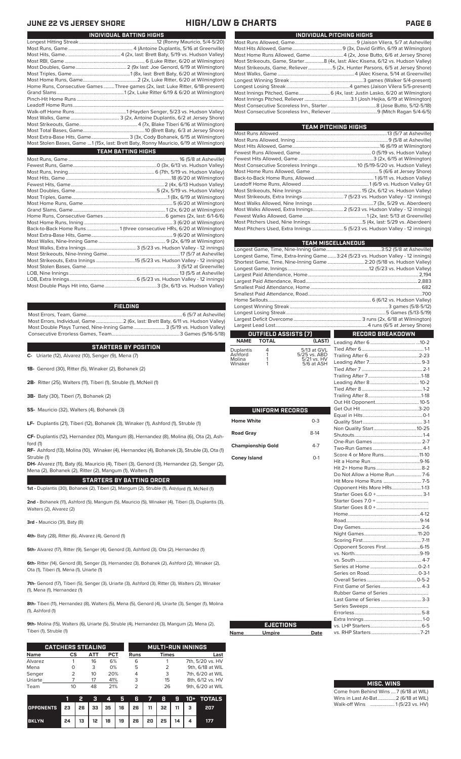## **JUNE 22 VS JERSEY SHORE HIGH/LOW & CHARTS PAGE 6**

| Home Runs, Consecutive Games Three games (2x, last: Luke Ritter, 6/18-present)         |
|----------------------------------------------------------------------------------------|
|                                                                                        |
|                                                                                        |
|                                                                                        |
|                                                                                        |
|                                                                                        |
|                                                                                        |
|                                                                                        |
| Most Extra-Base Hits, Game 3 (3x, Cody Bohanek, 6/15 at Wilmington)                    |
| Most Stolen Bases, Game  1 (15x, last: Brett Baty, Ronny Mauricio, 6/19 at Wilmington) |
| <b>TEAM BATTING HIGHS</b>                                                              |
|                                                                                        |
|                                                                                        |
|                                                                                        |
|                                                                                        |
|                                                                                        |
|                                                                                        |
|                                                                                        |
|                                                                                        |

**INDIVIDUAL BATTING HIGHS**

## **FIELDING**

Most Errors, Team, Game...............................................................................6 (5/7 at Asheville) .<br>2 (6x, last: Brett Baty, 6/11 vs. Hudson Valley)<br>3 (5/19 vs. Hudson Valley) Most Double Plays Turned, Nine-Inning Game.......................... 3 (5/19 vs. Hudson Valley) Consecutive Errorless Games, Team.

## **STARTERS BY POSITION**

**C-** Uriarte (12), Alvarez (10), Senger (9), Mena (7)

**1B-** Genord (30), Ritter (5), Winaker (2), Bohanek (2)

**2B-** Ritter (25), Walters (11), Tiberi (1), Struble (1), McNeil (1)

**3B-** Baty (30), Tiberi (7), Bohanek (2)

**SS-** Mauricio (32), Walters (4), Bohanek (3)

**LF-** Duplantis (21), Tiberi (12), Bohanek (3), Winaker (1), Ashford (1), Struble (1)

**CF-** Duplantis (12), Hernandez (10), Mangum (8), Hernandez (8), Molina (6), Ota (2), Ashford (1)

**RF-** Ashford (13), Molina (10), Winaker (4), Hernandez (4), Bohanek (3), Struble (3), Ota (1) Struble (1)

**DH-** Alvarez (11), Baty (6), Mauricio (4), Tiberi (3), Genord (3), Hernandez (2), Senger (2), Mena (2), Bohanek (2), Ritter (2), Mangum (1), Walters (1)

**STARTERS BY BATTING ORDER**

**1st -** Duplantis (30), Bohanek (2), Tiberi (2), Mangum (2), Struble (1), Ashford (1), McNeil (1)

**2nd -** Bohanek (11), Ashford (5), Mangum (5), Mauricio (5), Winaker (4), Tiberi (3), Duplantis (3), Walters (2), Alvarez (2)

**3rd -** Mauricio (31), Baty (8)

**4th-** Baty (28), Ritter (6), Alvarez (4), Genord (1)

**5th-** Alvarez (17), Ritter (9), Senger (4), Genord (3), Ashford (3), Ota (2), Hernandez (1)

**6th-** Ritter (14), Genord (8), Senger (3), Hernandez (3), Bohanek (2), Ashford (2), Winaker (2), Ota (1), Tiberi (1), Mena (1), Uriarte (1)

**7th-** Genord (17), Tiberi (5), Senger (3), Uriarte (3), Ashford (3), Ritter (3), Walters (2), Winaker (1), Mena (1), Hernandez (1)

**8th-** Tiberi (11), Hernandez (8), Walters (5), Mena (5), Genord (4), Uriarte (3), Senger (1), Molina (1), Ashford (1)

**9th-** Molina (15), Walters (6), Uriarte (5), Struble (4), Hernandez (3), Mangum (2), Mena (2), Tiberi (1), Struble (1)

|             | <b>CATCHERS STEALING</b> |     |     | <b>MULTI-RUN INNINGS</b> |              |                  |  |
|-------------|--------------------------|-----|-----|--------------------------|--------------|------------------|--|
| <b>Name</b> | СS                       | АТТ | PCT | <b>Runs</b>              | <b>Times</b> | Last             |  |
| Alvarez     |                          | 16  | 6%  | 6                        |              | 7th, 5/20 vs. HV |  |
| Mena        |                          | 3   | 0%  | 5                        | 2            | 9th, 6/18 at WIL |  |
| Senger      | フ                        | 10  | 20% |                          | 3            | 7th, 6/20 at WIL |  |
| Uriarte     |                          | 17  | 41% | 3                        | 15           | 8th, 6/12 vs. HV |  |
| Team        | 10                       | 48  | 21% |                          | 26           | 9th, 6/20 at WIL |  |

|                                        | - 21 |  |                                                  |  |  | 3 4 5 6 7 8 9 10 + TOTALS |
|----------------------------------------|------|--|--------------------------------------------------|--|--|---------------------------|
| OPPONENTS 23 26 33 35 16 26 11 32 11 3 |      |  |                                                  |  |  | - 207                     |
| <b>BKLYN</b>                           |      |  | $24$   13   12   18   19   26   20   25   14   4 |  |  | 177                       |

| INDIVIDUAL PITCHING HIGHS                                                       |
|---------------------------------------------------------------------------------|
|                                                                                 |
|                                                                                 |
| Most Home Runs Allowed, Game4 (2x, Jose Butto, 6/6 at Jersey Shore)             |
| Most Strikeouts, Game, Starter8 (4x, last: Alec Kisena, 6/12 vs. Hudson Valley) |
| Most Strikeouts, Game, Reliever5 (2x, Hunter Parsons, 6/5 at Jersey Shore)      |
|                                                                                 |
|                                                                                 |
|                                                                                 |
|                                                                                 |
|                                                                                 |
|                                                                                 |
|                                                                                 |

| TEAM PITCHING HIGHS                                                       |  |
|---------------------------------------------------------------------------|--|
|                                                                           |  |
|                                                                           |  |
|                                                                           |  |
|                                                                           |  |
|                                                                           |  |
|                                                                           |  |
|                                                                           |  |
|                                                                           |  |
|                                                                           |  |
|                                                                           |  |
|                                                                           |  |
|                                                                           |  |
| Most Walks Allowed, Extra Innings 2 (5/23 vs. Hudson Valley - 12 innings) |  |
|                                                                           |  |
|                                                                           |  |
| Most Pitchers Used, Extra Innings5 (5/23 vs. Hudson Valley - 12 innings)  |  |
|                                                                           |  |

|                     |                          |                             | <b>TEAM MISCELLANEOUS</b>                                                        |  |  |  |  |
|---------------------|--------------------------|-----------------------------|----------------------------------------------------------------------------------|--|--|--|--|
|                     |                          |                             |                                                                                  |  |  |  |  |
|                     |                          |                             | Longest Game, Time, Extra-Inning Game 3:24 (5/23 vs. Hudson Valley - 12 innings) |  |  |  |  |
|                     |                          |                             | Shortest Game, Time, Nine-Inning Game  2:20 (5/18 vs. Hudson Valley)             |  |  |  |  |
|                     |                          |                             |                                                                                  |  |  |  |  |
|                     |                          |                             |                                                                                  |  |  |  |  |
|                     |                          |                             |                                                                                  |  |  |  |  |
|                     |                          |                             |                                                                                  |  |  |  |  |
|                     |                          |                             |                                                                                  |  |  |  |  |
|                     |                          |                             |                                                                                  |  |  |  |  |
|                     |                          |                             |                                                                                  |  |  |  |  |
|                     |                          |                             |                                                                                  |  |  |  |  |
|                     |                          |                             |                                                                                  |  |  |  |  |
|                     | OUTFIELD ASSISTS [7]     |                             | RECORD BREAKDOWN                                                                 |  |  |  |  |
| <b>NAME</b>         | <b>TOTAL</b>             | (LAST)                      |                                                                                  |  |  |  |  |
| Duplantis           | 4                        | 5/13 at GVL                 |                                                                                  |  |  |  |  |
| Ashford<br>Molina   | 1<br>1                   | 5/25 vs. ABD<br>5/21 vs. HV |                                                                                  |  |  |  |  |
| Winaker             | 1                        | 5/6 at ASH                  |                                                                                  |  |  |  |  |
|                     |                          |                             |                                                                                  |  |  |  |  |
|                     |                          |                             |                                                                                  |  |  |  |  |
|                     |                          |                             |                                                                                  |  |  |  |  |
|                     |                          |                             |                                                                                  |  |  |  |  |
|                     |                          |                             |                                                                                  |  |  |  |  |
|                     |                          |                             |                                                                                  |  |  |  |  |
|                     | <b>UNIFORM RECORDS</b>   |                             |                                                                                  |  |  |  |  |
| <b>Home White</b>   |                          | $0 - 3$                     |                                                                                  |  |  |  |  |
|                     |                          |                             |                                                                                  |  |  |  |  |
| <b>Road Gray</b>    |                          | $8-14$                      |                                                                                  |  |  |  |  |
|                     |                          |                             |                                                                                  |  |  |  |  |
|                     | <b>Championship Gold</b> | $4 - 7$                     |                                                                                  |  |  |  |  |
|                     |                          |                             | Score 4 or More Runs11-10                                                        |  |  |  |  |
| <b>Coney Island</b> |                          | $O-1$                       |                                                                                  |  |  |  |  |
|                     |                          |                             |                                                                                  |  |  |  |  |
|                     |                          |                             |                                                                                  |  |  |  |  |
|                     |                          |                             |                                                                                  |  |  |  |  |
|                     |                          |                             | Opponent Hits More HRs1-13                                                       |  |  |  |  |
|                     |                          |                             |                                                                                  |  |  |  |  |
|                     |                          |                             |                                                                                  |  |  |  |  |
|                     |                          |                             |                                                                                  |  |  |  |  |
|                     |                          |                             |                                                                                  |  |  |  |  |
|                     |                          |                             |                                                                                  |  |  |  |  |
|                     |                          |                             |                                                                                  |  |  |  |  |
|                     |                          |                             |                                                                                  |  |  |  |  |
|                     |                          |                             | Opponent Scores First6-15                                                        |  |  |  |  |
|                     |                          |                             |                                                                                  |  |  |  |  |
|                     |                          |                             |                                                                                  |  |  |  |  |
|                     |                          |                             |                                                                                  |  |  |  |  |
|                     |                          |                             |                                                                                  |  |  |  |  |
|                     |                          |                             |                                                                                  |  |  |  |  |
|                     |                          |                             | First Game of Series 4-3                                                         |  |  |  |  |
|                     |                          |                             |                                                                                  |  |  |  |  |
|                     |                          |                             | Last Game of Series  3-3                                                         |  |  |  |  |
|                     |                          |                             |                                                                                  |  |  |  |  |
|                     |                          |                             |                                                                                  |  |  |  |  |
|                     |                          |                             |                                                                                  |  |  |  |  |
|                     | <b>EJECTIONS</b>         |                             |                                                                                  |  |  |  |  |
| Name                | <u>Umpire</u>            | Date                        |                                                                                  |  |  |  |  |

## Come from Behind Wins .... 7 (6/18 at WIL)<br>Wins in Last At-Bat................ 2 (6/18 at WIL) Wins in Last At-Bat ....... Walk-off Wins .................... 1 (5/23 vs. HV) **MISC. WINS**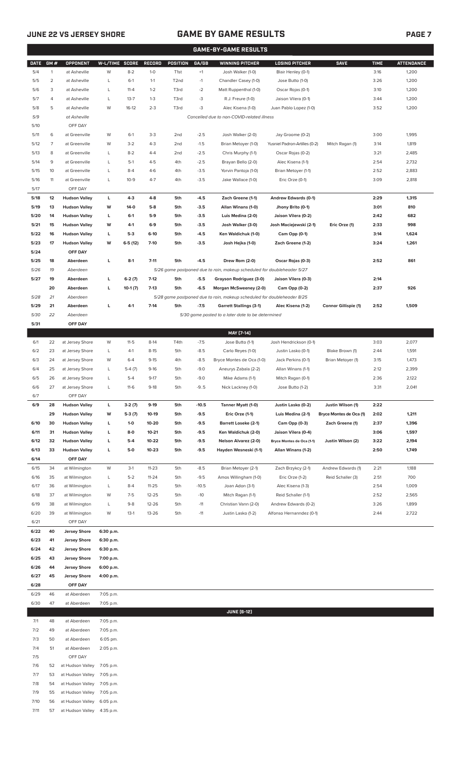7/9 55 at Hudson Valley 7:05 p.m. 7/10 56 at Hudson Valley 6:05 p.m. 7/11 57 at Hudson Valley 4:35 p.m.

# **JUNE 22 VS JERSEY SHORE GAME BY GAME RESULTS PAGE 7**

| <b>GAME-BY-GAME RESULTS</b> |              |                                              |                        |                      |                    |                   |                  |                                                                                           |                                                  |                                      |              |                   |
|-----------------------------|--------------|----------------------------------------------|------------------------|----------------------|--------------------|-------------------|------------------|-------------------------------------------------------------------------------------------|--------------------------------------------------|--------------------------------------|--------------|-------------------|
| <b>DATE</b>                 | GM#          | <b>OPPONENT</b>                              | W-L/TIME SCORE         |                      | <b>RECORD</b>      | <b>POSITION</b>   | GA/GB            | <b>WINNING PITCHER</b>                                                                    | <b>LOSING PITCHER</b>                            | <b>SAVE</b>                          | <b>TIME</b>  | <b>ATTENDANCE</b> |
| 5/4                         | $\mathbf{1}$ | at Asheville                                 | W                      | $8 - 2$              | $1 - 0$            | T <sub>1st</sub>  | $+1$             | Josh Walker (1-0)                                                                         | Blair Henley (0-1)                               |                                      | 3:16         | 1,200             |
| 5/5                         | 2            | at Asheville                                 | L                      | $6-1$                | $1 - 1$            | T <sub>2</sub> nd | $-1$             | Chandler Casey (1-0)                                                                      | Jose Butto (1-0)                                 |                                      | 3:26         | 1,200             |
| 5/6<br>5/7                  | 3<br>4       | at Asheville<br>at Asheville                 | L<br>L                 | $11 - 4$<br>$13 - 7$ | $1 - 2$<br>$1 - 3$ | T3rd<br>T3rd      | $-2$<br>-3       | Matt Ruppenthal (1-0)                                                                     | Oscar Rojas (0-1)<br>Jaison Vilera (0-1)         |                                      | 3:10<br>3:44 | 1,200<br>1,200    |
| 5/8                         | 5            | at Asheville                                 | W                      | $16-12$              | $2 - 3$            | T3rd              | -3               | R.J. Freure (1-0)<br>Alec Kisena (1-0)                                                    | Juan Pablo Lopez (1-0)                           |                                      | 3:52         | 1,200             |
| 5/9                         |              | at Asheville                                 |                        |                      |                    |                   |                  | Cancelled due to non-COVID-related illness                                                |                                                  |                                      |              |                   |
| 5/10                        |              | OFF DAY                                      |                        |                      |                    |                   |                  |                                                                                           |                                                  |                                      |              |                   |
| 5/11                        | 6            | at Greenville                                | W                      | $6-1$                | $3-3$              | 2 <sub>nd</sub>   | $-2.5$           | Josh Walker (2-0)                                                                         | Jay Groome (0-2)                                 |                                      | 3:00         | 1,995             |
| 5/12                        | 7            | at Greenville                                | W                      | $3 - 2$              | $4 - 3$            | 2 <sub>nd</sub>   | $-1.5$           | Brian Metoyer (1-0)                                                                       | Yusniel Padron-Artilles (0-2)                    | Mitch Ragan (1)                      | 3:14         | 1,819             |
| 5/13                        | 8            | at Greenville                                | L                      | $8 - 2$              | $4 - 4$            | 2 <sub>nd</sub>   | $-2.5$           | Chris Murphy (1-1)                                                                        | Oscar Rojas (0-2)                                |                                      | 3:21         | 2,485             |
| 5/14                        | 9            | at Greenville                                | L                      | $5-1$                | $4 - 5$            | 4th               | $-2.5$           | Brayan Bello (2-0)                                                                        | Alec Kisena (1-1)                                |                                      | 2:54         | 2,732             |
| 5/15                        | 10           | at Greenville                                | L                      | $8 - 4$              | $4-6$              | 4th               | $-3.5$           | Yorvin Pantoja (1-0)                                                                      | Brian Metoyer (1-1)                              |                                      | 2:52         | 2,883             |
| 5/16<br>5/17                | 11           | at Greenville<br>OFF DAY                     | L                      | $10-9$               | $4 - 7$            | 4th               | $-3.5$           | Jake Wallace (1-0)                                                                        | Eric Orze (0-1)                                  |                                      | 3:09         | 2,818             |
| 5/18                        | 12           | <b>Hudson Valley</b>                         | L                      | $4-3$                | $4 - 8$            | 5th               | $-4.5$           | Zach Greene (1-1)                                                                         | Andrew Edwards (0-1)                             |                                      | 2:29         | 1,315             |
| 5/19                        | 13           | <b>Hudson Valley</b>                         | W                      | $14-0$               | $5-8$              | 5th               | $-3.5$           | Allan Winans (1-0)                                                                        | Jhony Brito (0-1)                                |                                      | 3:01         | 810               |
| 5/20                        | 14           | <b>Hudson Valley</b>                         | L                      | $6-1$                | $5-9$              | 5th               | $-3.5$           | Luis Medina (2-0)                                                                         | Jaison Vilera (0-2)                              |                                      | 2:42         | 682               |
| 5/21                        | 15           | <b>Hudson Valley</b>                         | W                      | $4-1$                | $6-9$              | 5th               | $-3.5$           | Josh Walker (3-0)                                                                         | Josh Maciejewski (2-1)                           | Eric Orze (1)                        | 2:33         | 998               |
| 5/22                        | 16           | <b>Hudson Valley</b>                         | L                      | $5-3$                | $6-10$             | 5th               | $-4.5$           | Ken Waldichuk (1-0)                                                                       | Cam Opp (0-1)                                    |                                      | 3:14         | 1,624             |
| 5/23                        | 17           | <b>Hudson Valley</b>                         | W                      | $6-5(12)$            | $7-10$             | 5th               | $-3.5$           | Josh Hejka (1-0)                                                                          | Zach Greene (1-2)                                |                                      | 3:24         | 1,261             |
| 5/24                        |              | OFF DAY                                      |                        |                      |                    |                   |                  |                                                                                           |                                                  |                                      |              |                   |
| 5/25<br>5/26                | 18<br>19     | Aberdeen<br>Aberdeen                         | L                      | $8-1$                | $7 - 11$           | 5th               | $-4.5$           | Drew Rom (2-0)<br>5/26 game postponed due to rain, makeup scheduled for doubleheader 5/27 | Oscar Rojas (0-3)                                |                                      | 2:52         | 861               |
| 5/27                        | 19           | Aberdeen                                     | г                      | $6-2(7)$             | $7-12$             | 5th               | $-5.5$           | Grayson Rodriguez (3-0)                                                                   | Jaison Vilera (0-3)                              |                                      | 2:14         |                   |
|                             | 20           | Aberdeen                                     | г                      | $10-1(7)$            | $7-13$             | 5th               | $-6.5$           | Morgan McSweeney (2-0)                                                                    | Cam Opp (0-2)                                    |                                      | 2:37         | 926               |
| 5/28                        | 21           | Aberdeen                                     |                        |                      |                    |                   |                  | 5/28 game postponed due to rain, makeup scheduled for doubleheader 8/25                   |                                                  |                                      |              |                   |
| 5/29                        | 21           | Aberdeen                                     | г                      | $4-1$                | $7-14$             | 5th               | $-7.5$           | <b>Garrett Stallings (3-1)</b>                                                            | Alec Kisena (1-2)                                | Connor Gillispie (1)                 | 2:52         | 1,509             |
| 5/30                        | 22           | Aberdeen                                     |                        |                      |                    |                   |                  | 5/30 game posted to a later date to be determined                                         |                                                  |                                      |              |                   |
| 5/31                        |              | OFF DAY                                      |                        |                      |                    |                   |                  |                                                                                           |                                                  |                                      |              |                   |
|                             |              |                                              |                        |                      |                    |                   |                  | MAY [7-14]                                                                                |                                                  |                                      |              |                   |
| 6/1<br>6/2                  | 22<br>23     | at Jersey Shore                              | W                      | $11 - 5$<br>$4-1$    | $8-14$<br>$8 - 15$ | T4th              | $-7.5$<br>$-8.5$ | Jose Butto (1-1)                                                                          | Josh Hendrickson (0-1)                           |                                      | 3:03<br>2:44 | 2,077             |
| 6/3                         | 24           | at Jersey Shore<br>at Jersey Shore           | L<br>W                 | $6 - 4$              | $9 - 15$           | 5th<br>4th        | $-8.5$           | Carlo Reyes (1-0)<br>Bryce Montes de Oca (1-0)                                            | Justin Lasko (0-1)<br>Jack Perkins (0-1)         | Blake Brown (1)<br>Brian Metoyer (1) | 3:15         | 1,591<br>1,473    |
| 6/4                         | 25           | at Jersey Shore                              | L                      | $5-4(7)$             | $9-16$             | 5th               | $-9.0$           | Aneurys Zabala (2-2)                                                                      | Allan Winans (1-1)                               |                                      | 2:12         | 2,399             |
| 6/5                         | 26           | at Jersey Shore                              | L                      | $5 - 4$              | $9 - 17$           | 5th               | $-9.0$           | Mike Adams (1-1)                                                                          | Mitch Ragan (0-1)                                |                                      | 2:36         | 2,122             |
| 6/6                         | 27           | at Jersey Shore                              | L                      | $11-6$               | $9-18$             | 5th               | $-9.5$           | Nick Lackney (1-0)                                                                        | Jose Butto (1-2)                                 |                                      | 3:31         | 2,041             |
| 6/7                         |              | OFF DAY                                      |                        |                      |                    |                   |                  |                                                                                           |                                                  |                                      |              |                   |
| 6/9                         | 28           | <b>Hudson Valley</b>                         | L                      | $3-2(7)$             | $9-19$             | 5th               | $-10.5$          | Tanner Myatt (1-0)                                                                        | Justin Lasko (0-2)                               | Justin Wilson (1)                    | 2:22         |                   |
|                             | 29           | <b>Hudson Valley</b>                         | W                      | $5-3(7)$             | $10-19$            | 5th               | $-9.5$           | Eric Orze (1-1)                                                                           | Luis Medina (2-1)                                | Bryce Montes de Oca (1)              | 2:02         | 1,211             |
| 6/10<br>6/11                | 30<br>31     | <b>Hudson Valley</b><br><b>Hudson Valley</b> | L<br>L                 | $1 - 0$<br>8-0       | 10-20<br>$10 - 21$ | 5th<br>5th        | $-9.5$<br>$-9.5$ | <b>Barrett Loseke (2-1)</b>                                                               | Cam Opp (0-3)                                    | Zach Greene (1)                      | 2:37<br>3:06 | 1,396<br>1,597    |
| 6/12                        | 32           | <b>Hudson Valley</b>                         | L                      | $5-4$                | $10 - 22$          | 5th               | $-9.5$           | Ken Waldichuk (2-0)<br><b>Nelson Alvarez (2-0)</b>                                        | Jaison Vilera (0-4)<br>Bryce Montes de Oca (1-1) | Justin Wilson (2)                    | 3:22         | 2,194             |
| 6/13                        | 33           | <b>Hudson Valley</b>                         | L                      | $5-0$                | $10 - 23$          | 5th               | $-9.5$           | Hayden Wesneski (1-1)                                                                     | Allan Winans (1-2)                               |                                      | 2:50         | 1,749             |
| 6/14                        |              | OFF DAY                                      |                        |                      |                    |                   |                  |                                                                                           |                                                  |                                      |              |                   |
| 6/15                        | 34           | at Wilmington                                | W                      | $3-1$                | $11 - 23$          | 5th               | $-8.5$           | Brian Metoyer (2-1)                                                                       | Zach Brzykcy (2-1)                               | Andrew Edwards (1)                   | 2:21         | 1,188             |
| 6/16                        | 35           | at Wilmington                                | L                      | $5 - 2$              | $11 - 24$          | 5th               | $-9.5$           | Amos Willingham (1-0)                                                                     | Eric Orze (1-2)                                  | Reid Schaller (3)                    | 2:51         | 700               |
| 6/17                        | 36           | at Wilmington                                | L                      | $8 - 4$              | $11 - 25$          | 5th               | $-10.5$          | Joan Adon (3-1)                                                                           | Alec Kisena (1-3)                                |                                      | 2:54         | 1,009             |
| 6/18                        | 37           | at Wilmington                                | W                      | $7-5$                | $12 - 25$          | 5th               | $-10$            | Mitch Ragan (1-1)                                                                         | Reid Schaller (1-1)                              |                                      | 2:52         | 2,565             |
| 6/19                        | 38           | at Wilmington                                | L                      | $9 - 8$              | $12 - 26$          | 5th               | $-11$            | Christian Vann (2-0)                                                                      | Andrew Edwards (0-2)                             |                                      | 3:26         | 1,899             |
| 6/20<br>6/21                | 39           | at Wilmington<br>OFF DAY                     | W                      | $13-1$               | 13-26              | 5th               | $-11$            | Justin Lasko (1-2)                                                                        | Alfonso Hernanndez (0-1)                         |                                      | 2:44         | 2,722             |
| 6/22                        | 40           | <b>Jersey Shore</b>                          | 6:30 p.m.              |                      |                    |                   |                  |                                                                                           |                                                  |                                      |              |                   |
| 6/23                        | 41           | <b>Jersey Shore</b>                          | 6:30 p.m.              |                      |                    |                   |                  |                                                                                           |                                                  |                                      |              |                   |
| 6/24                        | 42           | <b>Jersey Shore</b>                          | 6:30 p.m.              |                      |                    |                   |                  |                                                                                           |                                                  |                                      |              |                   |
| 6/25                        | 43           | <b>Jersey Shore</b>                          | 7:00 p.m.              |                      |                    |                   |                  |                                                                                           |                                                  |                                      |              |                   |
| 6/26                        | 44           | <b>Jersey Shore</b>                          | 6:00 p.m.              |                      |                    |                   |                  |                                                                                           |                                                  |                                      |              |                   |
| 6/27                        | 45           | <b>Jersey Shore</b>                          | 4:00 p.m.              |                      |                    |                   |                  |                                                                                           |                                                  |                                      |              |                   |
| 6/28                        |              | OFF DAY                                      |                        |                      |                    |                   |                  |                                                                                           |                                                  |                                      |              |                   |
| 6/29<br>6/30                | 46<br>47     | at Aberdeen<br>at Aberdeen                   | 7:05 p.m.<br>7:05 p.m. |                      |                    |                   |                  |                                                                                           |                                                  |                                      |              |                   |
|                             |              |                                              |                        |                      |                    |                   |                  | <b>JUNE (6-12)</b>                                                                        |                                                  |                                      |              |                   |
| 7/1                         | 48           | at Aberdeen                                  | 7:05 p.m.              |                      |                    |                   |                  |                                                                                           |                                                  |                                      |              |                   |
| 7/2                         | 49           | at Aberdeen                                  | 7:05 p.m.              |                      |                    |                   |                  |                                                                                           |                                                  |                                      |              |                   |
| 7/3                         | 50           | at Aberdeen                                  | 6:05 pm.               |                      |                    |                   |                  |                                                                                           |                                                  |                                      |              |                   |
| 7/4                         | 51           | at Aberdeen                                  | 2:05 p.m.              |                      |                    |                   |                  |                                                                                           |                                                  |                                      |              |                   |
| 7/5                         |              | OFF DAY                                      |                        |                      |                    |                   |                  |                                                                                           |                                                  |                                      |              |                   |
| 7/6                         | 52           | at Hudson Valley                             | 7:05 p.m.              |                      |                    |                   |                  |                                                                                           |                                                  |                                      |              |                   |
| 7/7<br>7/8                  | 53<br>54     | at Hudson Valley<br>at Hudson Valley         | 7:05 p.m.<br>7:05 p.m. |                      |                    |                   |                  |                                                                                           |                                                  |                                      |              |                   |
|                             |              |                                              |                        |                      |                    |                   |                  |                                                                                           |                                                  |                                      |              |                   |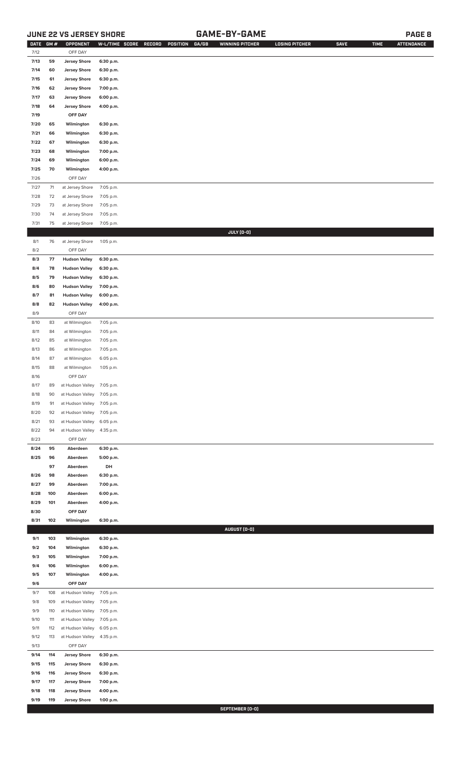# **JUNE 22 VS JERSEY SHORE GAME-BY-GAME PAGE 8**

| <b>DATE</b>  | GM#      | OPPONENT                                     | W-L/TIME SCORE         | RECORD | POSITION | GA/GB | <b>WINNING PITCHER</b> | <b>LOSING PITCHER</b> | <b>SAVE</b> | <b>TIME</b> | <b>ATTENDANCE</b> |
|--------------|----------|----------------------------------------------|------------------------|--------|----------|-------|------------------------|-----------------------|-------------|-------------|-------------------|
| 7/12         |          | OFF DAY                                      |                        |        |          |       |                        |                       |             |             |                   |
| 7/13         | 59       | <b>Jersey Shore</b>                          | 6:30 p.m.              |        |          |       |                        |                       |             |             |                   |
| 7/14         | 60       | <b>Jersey Shore</b>                          | 6:30 p.m.              |        |          |       |                        |                       |             |             |                   |
| 7/15         | 61       | <b>Jersey Shore</b><br><b>Jersey Shore</b>   | 6:30 p.m.              |        |          |       |                        |                       |             |             |                   |
| 7/16<br>7/17 | 62<br>63 | <b>Jersey Shore</b>                          | 7:00 p.m.              |        |          |       |                        |                       |             |             |                   |
| 7/18         | 64       | <b>Jersey Shore</b>                          | 6:00 p.m.<br>4:00 p.m. |        |          |       |                        |                       |             |             |                   |
| 7/19         |          | OFF DAY                                      |                        |        |          |       |                        |                       |             |             |                   |
| 7/20         | 65       | Wilmington                                   | 6:30 p.m.              |        |          |       |                        |                       |             |             |                   |
| 7/21         | 66       | Wilmington                                   | 6:30 p.m.              |        |          |       |                        |                       |             |             |                   |
| 7/22         | 67       | Wilmington                                   | 6:30 p.m.              |        |          |       |                        |                       |             |             |                   |
| 7/23         | 68       | Wilmington                                   | 7:00 p.m.              |        |          |       |                        |                       |             |             |                   |
| 7/24         | 69       | Wilmington                                   | 6:00 p.m.              |        |          |       |                        |                       |             |             |                   |
| 7/25         | 70       | Wilmington                                   | 4:00 p.m.              |        |          |       |                        |                       |             |             |                   |
| 7/26         |          | OFF DAY                                      |                        |        |          |       |                        |                       |             |             |                   |
| 7/27         | $71$     | at Jersey Shore                              | 7:05 p.m.              |        |          |       |                        |                       |             |             |                   |
| $7/28$       | 72       | at Jersey Shore                              | 7:05 p.m.              |        |          |       |                        |                       |             |             |                   |
| 7/29         | 73       | at Jersey Shore                              | 7:05 p.m.              |        |          |       |                        |                       |             |             |                   |
| 7/30         | 74       | at Jersey Shore                              | 7:05 p.m.              |        |          |       |                        |                       |             |             |                   |
| 7/31         | 75       | at Jersey Shore                              | 7:05 p.m.              |        |          |       |                        |                       |             |             |                   |
|              |          |                                              |                        |        |          |       | JULY (0-0)             |                       |             |             |                   |
| 8/1          | 76       | at Jersey Shore                              | 1:05 p.m.              |        |          |       |                        |                       |             |             |                   |
| 8/2          |          | OFF DAY                                      |                        |        |          |       |                        |                       |             |             |                   |
| 8/3          | 77       | <b>Hudson Valley</b>                         | 6:30 p.m.              |        |          |       |                        |                       |             |             |                   |
| 8/4          | 78       | <b>Hudson Valley</b>                         | 6:30 p.m.              |        |          |       |                        |                       |             |             |                   |
| 8/5          | 79       | <b>Hudson Valley</b>                         | 6:30 p.m.              |        |          |       |                        |                       |             |             |                   |
| 8/6<br>8/7   | 80<br>81 | <b>Hudson Valley</b><br><b>Hudson Valley</b> | 7:00 p.m.<br>6:00 p.m. |        |          |       |                        |                       |             |             |                   |
| 8/8          | 82       | <b>Hudson Valley</b>                         | 4:00 p.m.              |        |          |       |                        |                       |             |             |                   |
| 8/9          |          | OFF DAY                                      |                        |        |          |       |                        |                       |             |             |                   |
| 8/10         | 83       | at Wilmington                                | 7:05 p.m.              |        |          |       |                        |                       |             |             |                   |
| 8/11         | 84       | at Wilmington                                | 7:05 p.m.              |        |          |       |                        |                       |             |             |                   |
| 8/12         | 85       | at Wilmington                                | 7:05 p.m.              |        |          |       |                        |                       |             |             |                   |
| 8/13         | 86       | at Wilmington                                | 7:05 p.m.              |        |          |       |                        |                       |             |             |                   |
| 8/14         | 87       | at Wilmington                                | 6:05 p.m.              |        |          |       |                        |                       |             |             |                   |
| 8/15         | 88       | at Wilmington                                | 1:05 p.m.              |        |          |       |                        |                       |             |             |                   |
| 8/16         |          | OFF DAY                                      |                        |        |          |       |                        |                       |             |             |                   |
| 8/17         | 89       | at Hudson Valley 7:05 p.m.                   |                        |        |          |       |                        |                       |             |             |                   |
| 8/18         | 90       | at Hudson Valley                             | 7:05 p.m.              |        |          |       |                        |                       |             |             |                   |
| 8/19         | 91       | at Hudson Valley                             | 7:05 p.m.              |        |          |       |                        |                       |             |             |                   |
| 8/20         | 92       | at Hudson Valley                             | 7:05 p.m.              |        |          |       |                        |                       |             |             |                   |
| 8/21         | 93       | at Hudson Valley                             | 6:05 p.m.              |        |          |       |                        |                       |             |             |                   |
| 8/22         | 94       | at Hudson Valley                             | 4:35 p.m.              |        |          |       |                        |                       |             |             |                   |
| 8/23         |          | OFF DAY<br>Aberdeen                          |                        |        |          |       |                        |                       |             |             |                   |
| 8/24<br>8/25 | 95<br>96 | Aberdeen                                     | 6:30 p.m.<br>5:00 p.m. |        |          |       |                        |                       |             |             |                   |
|              | 97       | Aberdeen                                     | DH                     |        |          |       |                        |                       |             |             |                   |
| 8/26         | 98       | Aberdeen                                     | 6:30 p.m.              |        |          |       |                        |                       |             |             |                   |
| 8/27         | 99       | Aberdeen                                     | 7:00 p.m.              |        |          |       |                        |                       |             |             |                   |
| 8/28         | 100      | Aberdeen                                     | 6:00 p.m.              |        |          |       |                        |                       |             |             |                   |
| 8/29         | 101      | Aberdeen                                     | 4:00 p.m.              |        |          |       |                        |                       |             |             |                   |
| 8/30         |          | OFF DAY                                      |                        |        |          |       |                        |                       |             |             |                   |
| 8/31         | 102      | Wilmington                                   | 6:30 p.m.              |        |          |       |                        |                       |             |             |                   |
|              |          |                                              |                        |        |          |       | AUGUST (0-0)           |                       |             |             |                   |
| 9/1          | 103      | Wilmington                                   | 6:30 p.m.              |        |          |       |                        |                       |             |             |                   |
| 9/2          | 104      | Wilmington                                   | 6:30 p.m.              |        |          |       |                        |                       |             |             |                   |
| 9/3          | 105      | Wilmington                                   | 7:00 p.m.              |        |          |       |                        |                       |             |             |                   |
| 9/4          | 106      | Wilmington                                   | 6:00 p.m.              |        |          |       |                        |                       |             |             |                   |
| 9/5          | 107      | Wilmington                                   | 4:00 p.m.              |        |          |       |                        |                       |             |             |                   |
| 9/6<br>9/7   | 108      | OFF DAY<br>at Hudson Valley                  | 7:05 p.m.              |        |          |       |                        |                       |             |             |                   |
| 9/8          | 109      | at Hudson Valley                             | 7:05 p.m.              |        |          |       |                        |                       |             |             |                   |
| 9/9          | 110      | at Hudson Valley                             | 7:05 p.m.              |        |          |       |                        |                       |             |             |                   |
| 9/10         | 111      | at Hudson Valley                             | 7:05 p.m.              |        |          |       |                        |                       |             |             |                   |
| 9/11         | 112      | at Hudson Valley                             | 6:05 p.m.              |        |          |       |                        |                       |             |             |                   |
| 9/12         | 113      | at Hudson Valley                             | 4:35 p.m.              |        |          |       |                        |                       |             |             |                   |
| 9/13         |          | OFF DAY                                      |                        |        |          |       |                        |                       |             |             |                   |
| 9/14         | 114      | <b>Jersey Shore</b>                          | 6:30 p.m.              |        |          |       |                        |                       |             |             |                   |
| 9/15         | 115      | <b>Jersey Shore</b>                          | 6:30 p.m.              |        |          |       |                        |                       |             |             |                   |
| 9/16         | 116      | <b>Jersey Shore</b>                          | 6:30 p.m.              |        |          |       |                        |                       |             |             |                   |
| 9/17         | 117      | <b>Jersey Shore</b>                          | 7:00 p.m.              |        |          |       |                        |                       |             |             |                   |
| 9/18         | 118      | <b>Jersey Shore</b>                          | 4:00 p.m.              |        |          |       |                        |                       |             |             |                   |
| 9/19         | 119      | <b>Jersey Shore</b>                          | 1:00 p.m.              |        |          |       |                        |                       |             |             |                   |

**SEPTEMBER (0-0)**